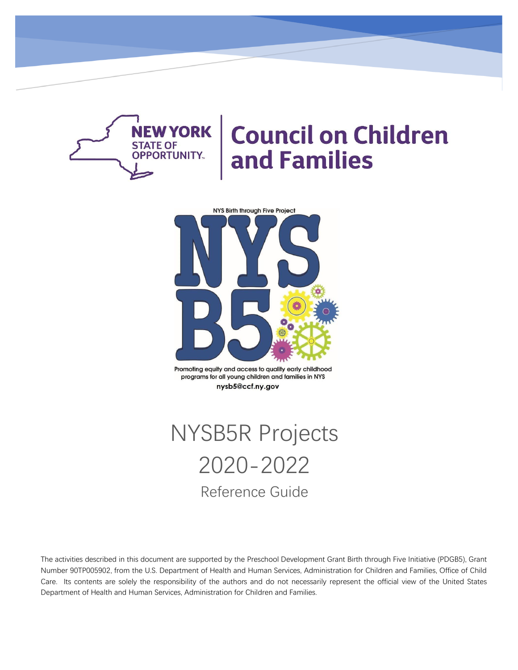

# **Council on Children** and Families



Promoting equity and access to quality early childhood programs for all young children and families in NYS nysb5@ccf.ny.gov

# NYSB5R Projects 2020-2022 Reference Guide

The activities described in this document are supported by the Preschool Development Grant Birth through Five Initiative (PDGB5), Grant Number 90TP005902, from the U.S. Department of Health and Human Services, Administration for Children and Families, Office of Child Care. Its contents are solely the responsibility of the authors and do not necessarily represent the official view of the United States Department of Health and Human Services, Administration for Children and Families.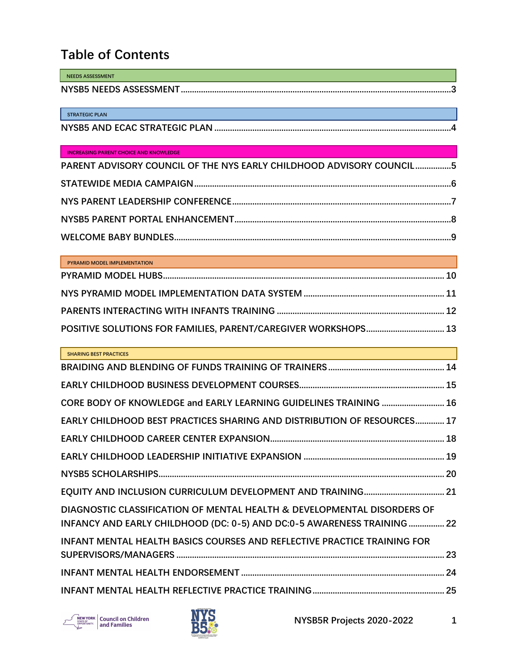## **Table of Contents**

| <b>NEEDS ASSESSMENT</b> |  |
|-------------------------|--|
| NYSB5 NEEDS ASSESSMENT. |  |

**STRATEGIC PLAN**

#### **INCREASING PARENT CHOICE AND KNOWLEDGE**

| PARENT ADVISORY COUNCIL OF THE NYS EARLY CHILDHOOD ADVISORY COUNCIL 5 |  |
|-----------------------------------------------------------------------|--|
|                                                                       |  |
|                                                                       |  |
|                                                                       |  |
|                                                                       |  |

| PYRAMID MODEL IMPLEMENTATION<br><u> 1989 - Johann Barn, mars ann an t-Amhain ann an t-Amhain an t-Amhain an t-Amhain an t-Amhain ann an t-Amhain </u> |  |
|-------------------------------------------------------------------------------------------------------------------------------------------------------|--|
|                                                                                                                                                       |  |
|                                                                                                                                                       |  |
|                                                                                                                                                       |  |
|                                                                                                                                                       |  |

| <b>SHARING BEST PRACTICES</b>                                                   |  |
|---------------------------------------------------------------------------------|--|
|                                                                                 |  |
|                                                                                 |  |
| CORE BODY OF KNOWLEDGE and EARLY LEARNING GUIDELINES TRAINING  16               |  |
| EARLY CHILDHOOD BEST PRACTICES SHARING AND DISTRIBUTION OF RESOURCES 17         |  |
|                                                                                 |  |
|                                                                                 |  |
|                                                                                 |  |
|                                                                                 |  |
| DIAGNOSTIC CLASSIFICATION OF MENTAL HEALTH & DEVELOPMENTAL DISORDERS OF         |  |
| INFANCY AND EARLY CHILDHOOD (DC: 0-5) AND DC:0-5 AWARENESS TRAINING 22          |  |
| <b>INFANT MENTAL HEALTH BASICS COURSES AND REFLECTIVE PRACTICE TRAINING FOR</b> |  |
|                                                                                 |  |
|                                                                                 |  |
|                                                                                 |  |



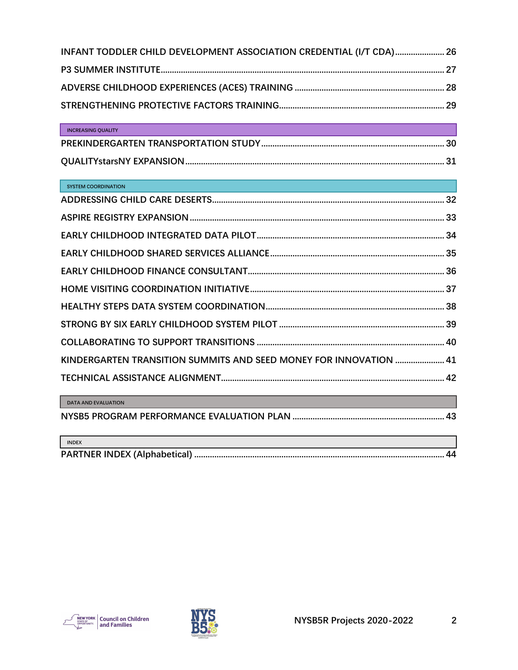| INFANT TODDLER CHILD DEVELOPMENT ASSOCIATION CREDENTIAL (I/T CDA) 26 |  |
|----------------------------------------------------------------------|--|
|                                                                      |  |
|                                                                      |  |
|                                                                      |  |

| <b>INCREASING OUALITY</b> |  |
|---------------------------|--|
|                           |  |
|                           |  |

| <b>SYSTEM COORDINATION</b> |
|----------------------------|
|                            |

| <b>INDEX</b> |  |
|--------------|--|
|              |  |



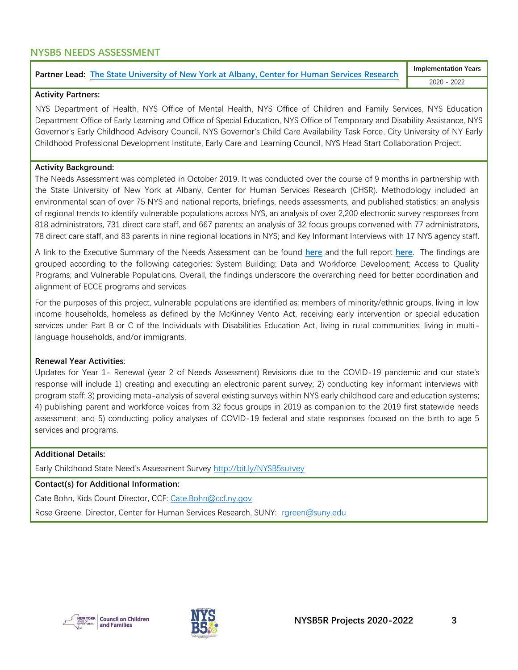## <span id="page-3-0"></span>**NYSB5 NEEDS ASSESSMENT**

#### **Partner Lead: [The State University of New York at Albany, Center for Human Services Research](https://www.albany.edu/chsr/)**

**Implementation Years** 2020 - 2022

#### **Activity Partners:**

NYS Department of Health, NYS Office of Mental Health, NYS Office of Children and Family Services, NYS Education Department Office of Early Learning and Office of Special Education, NYS Office of Temporary and Disability Assistance, NYS Governor's Early Childhood Advisory Council, NYS Governor's Child Care Availability Task Force, City University of NY Early Childhood Professional Development Institute, Early Care and Learning Council, NYS Head Start Collaboration Project.

#### **Activity Background:**

The Needs Assessment was completed in October 2019. It was conducted over the course of 9 months in partnership with the State University of New York at Albany, Center for Human Services Research (CHSR). Methodology included an environmental scan of over 75 NYS and national reports, briefings, needs assessments, and published statistics; an analysis of regional trends to identify vulnerable populations across NYS, an analysis of over 2,200 electronic survey responses from 818 administrators, 731 direct care staff, and 667 parents; an analysis of 32 focus groups convened with 77 administrators, 78 direct care staff, and 83 parents in nine regional locations in NYS; and Key Informant Interviews with 17 NYS agency staff.

A link to the Executive Summary of the Needs Assessment can be found **[here](https://www.ccf.ny.gov/files/7515/7746/6633/NAExecutiveSummary.pdf)** and the full report **[here](https://www.ccf.ny.gov/files/4915/7773/1159/nysb5_na_report.pdf)**. The findings are grouped according to the following categories: System Building; Data and Workforce Development; Access to Quality Programs; and Vulnerable Populations. Overall, the findings underscore the overarching need for better coordination and alignment of ECCE programs and services.

For the purposes of this project, vulnerable populations are identified as: members of minority/ethnic groups, living in low income households, homeless as defined by the McKinney Vento Act, receiving early intervention or special education services under Part B or C of the Individuals with Disabilities Education Act, living in rural communities, living in multilanguage households, and/or immigrants.

#### **Renewal Year Activities**:

Updates for Year 1- Renewal (year 2 of Needs Assessment) Revisions due to the COVID-19 pandemic and our state's response will include 1) creating and executing an electronic parent survey; 2) conducting key informant interviews with program staff; 3) providing meta-analysis of several existing surveys within NYS early childhood care and education systems; 4) publishing parent and workforce voices from 32 focus groups in 2019 as companion to the 2019 first statewide needs assessment; and 5) conducting policy analyses of COVID-19 federal and state responses focused on the birth to age 5 services and programs.

#### **Additional Details:**

Early Childhood State Need's Assessment Survey <http://bit.ly/NYSB5survey>

**Contact(s) for Additional Information:**

Cate Bohn, Kids Count Director, CCF: [Cate.Bohn@ccf.ny.gov](mailto:Cate.Bohn@ccf.ny.gov)

Rose Greene, Director, Center for Human Services Research, SUNY: [rgreen@suny.edu](mailto:rgreen@suny.edu)



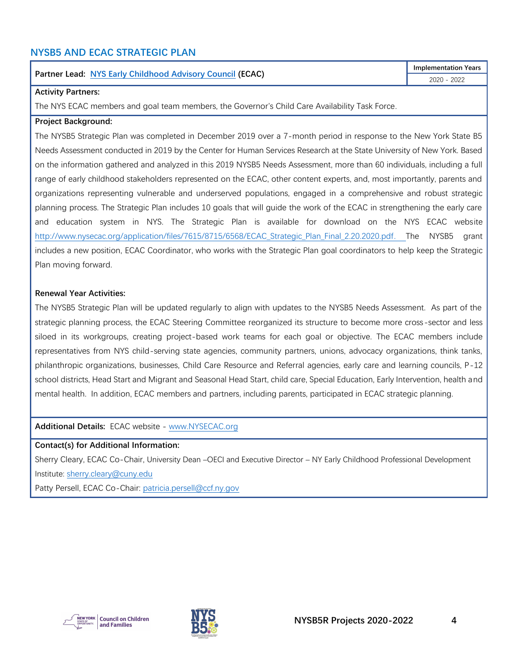## <span id="page-4-0"></span>**NYSB5 AND ECAC STRATEGIC PLAN**

#### **Partner Lead: [NYS Early Childhood Advisory Council](http://www.nysecac.org/) (ECAC)**

#### **Activity Partners:**

The NYS ECAC members and goal team members, the Governor's Child Care Availability Task Force.

#### **Project Background:**

The NYSB5 Strategic Plan was completed in December 2019 over a 7-month period in response to the New York State B5 Needs Assessment conducted in 2019 by the Center for Human Services Research at the State University of New York. Based on the information gathered and analyzed in this 2019 NYSB5 Needs Assessment, more than 60 individuals, including a full range of early childhood stakeholders represented on the ECAC, other content experts, and, most importantly, parents and organizations representing vulnerable and underserved populations, engaged in a comprehensive and robust strategic planning process. The Strategic Plan includes 10 goals that will guide the work of the ECAC in strengthening the early care and education system in NYS. The Strategic Plan is available for download on the NYS ECAC website http://www.nysecac.org/application/files/7615/8715/6568/ECAC Strategic Plan Final 2.20.2020.pdf. The NYSB5 grant includes a new position, ECAC Coordinator, who works with the Strategic Plan goal coordinators to help keep the Strategic Plan moving forward.

#### **Renewal Year Activities:**

The NYSB5 Strategic Plan will be updated regularly to align with updates to the NYSB5 Needs Assessment. As part of the strategic planning process, the ECAC Steering Committee reorganized its structure to become more cross-sector and less siloed in its workgroups, creating project-based work teams for each goal or objective. The ECAC members include representatives from NYS child-serving state agencies, community partners, unions, advocacy organizations, think tanks, philanthropic organizations, businesses, Child Care Resource and Referral agencies, early care and learning councils, P-12 school districts, Head Start and Migrant and Seasonal Head Start, child care, Special Education, Early Intervention, health and mental health. In addition, ECAC members and partners, including parents, participated in ECAC strategic planning.

**Additional Details:** ECAC website - [www.NYSECAC.org](http://www.nysecac.org/)

#### **Contact(s) for Additional Information:**

Sherry Cleary, ECAC Co-Chair, University Dean –OECI and Executive Director – NY Early Childhood Professional Development Institute: [sherry.cleary@cuny.edu](mailto:sherry.cleary@cuny.edu)

Patty Persell, ECAC Co-Chair: [patricia.persell@ccf.ny.gov](mailto:patricia.persell@ccf.ny.gov)





**Implementation Years** 2020 - 2022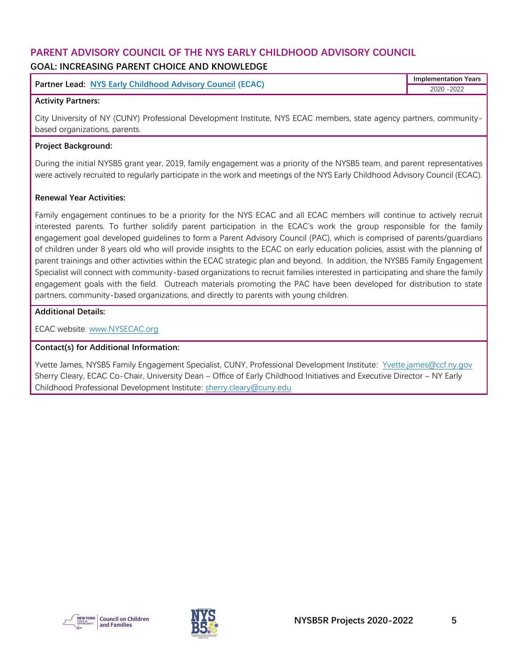## <span id="page-5-0"></span>**PARENT ADVISORY COUNCIL OF THE NYS EARLY CHILDHOOD ADVISORY COUNCIL GOAL: INCREASING PARENT CHOICE AND KNOWLEDGE**

| <b>Partner Lead: NYS Early Childhood Advisory Council (ECAC)</b> | <b>Implementation Years</b> |
|------------------------------------------------------------------|-----------------------------|
|                                                                  | $-2022$                     |

#### **Activity Partners:**

City University of NY (CUNY) Professional Development Institute, NYS ECAC members, state agency partners, communitybased organizations, parents.

#### **Project Background:**

During the initial NYSB5 grant year, 2019, family engagement was a priority of the NYSB5 team, and parent representatives were actively recruited to regularly participate in the work and meetings of the NYS Early Childhood Advisory Council (ECAC).

#### **Renewal Year Activities:**

Family engagement continues to be a priority for the NYS ECAC and all ECAC members will continue to actively recruit interested parents. To further solidify parent participation in the ECAC's work the group responsible for the family engagement goal developed guidelines to form a Parent Advisory Council (PAC), which is comprised of parents/guardians of children under 8 years old who will provide insights to the ECAC on early education policies, assist with the planning of parent trainings and other activities within the ECAC strategic plan and beyond. In addition, the NYSB5 Family Engagement Specialist will connect with community-based organizations to recruit families interested in participating and share the family engagement goals with the field. Outreach materials promoting the PAC have been developed for distribution to state partners, community-based organizations, and directly to parents with young children.

#### **Additional Details:**

ECAC website: [www.NYSECAC.org](http://www.nysecac.org/)

#### **Contact(s) for Additional Information:**

Yvette James, NYSB5 Family Engagement Specialist, CUNY, Professional Development Institute: Yvette.james@ccf.ny.gov Sherry Cleary, ECAC Co-Chair, University Dean – Office of Early Childhood Initiatives and Executive Director – NY Early Childhood Professional Development Institute: [sherry.cleary@cuny.edu](mailto:sherry.cleary@cuny.edu)



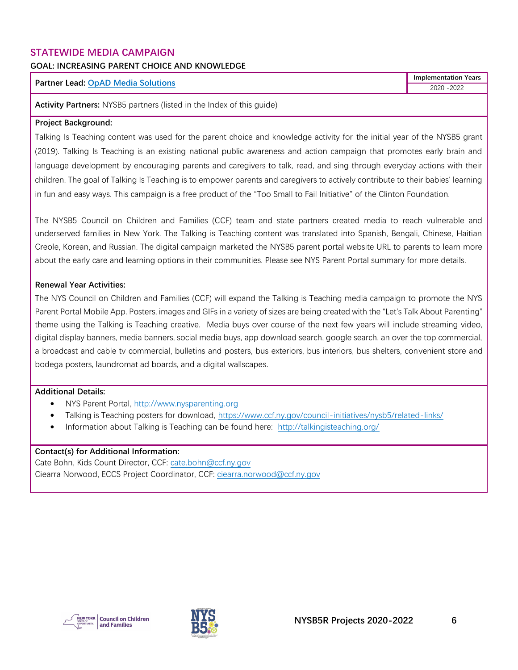#### <span id="page-6-0"></span>**STATEWIDE MEDIA CAMPAIGN**

### **GOAL: INCREASING PARENT CHOICE AND KNOWLEDGE**

#### **Partner Lead: [OpAD Media Solutions](https://www.opadmedia.com/)**

**Implementation Years** 2020 -2022

**Activity Partners:** NYSB5 partners (listed in the Index of this guide)

#### **Project Background:**

Talking Is Teaching content was used for the parent choice and knowledge activity for the initial year of the NYSB5 grant (2019). Talking Is Teaching is an existing national public awareness and action campaign that promotes early brain and language development by encouraging parents and caregivers to talk, read, and sing through everyday actions with their children. The goal of Talking Is Teaching is to empower parents and caregivers to actively contribute to their babies' learning in fun and easy ways. This campaign is a free product of the "Too Small to Fail Initiative" of the Clinton Foundation.

The NYSB5 Council on Children and Families (CCF) team and state partners created media to reach vulnerable and underserved families in New York. The Talking is Teaching content was translated into Spanish, Bengali, Chinese, Haitian Creole, Korean, and Russian. The digital campaign marketed the NYSB5 parent portal website URL to parents to learn more about the early care and learning options in their communities. Please see NYS Parent Portal summary for more details.

#### **Renewal Year Activities:**

The NYS Council on Children and Families (CCF) will expand the Talking is Teaching media campaign to promote the NYS Parent Portal Mobile App. Posters, images and GIFs in a variety of sizes are being created with the "Let's Talk About Parenting" theme using the Talking is Teaching creative. Media buys over course of the next few years will include streaming video, digital display banners, media banners, social media buys, app download search, google search, an over the top commercial, a broadcast and cable tv commercial, bulletins and posters, bus exteriors, bus interiors, bus shelters, convenient store and bodega posters, laundromat ad boards, and a digital wallscapes.

#### **Additional Details:**

- NYS Parent Portal, [http://www.nysparenting.org](http://www.nysparenting.org/)
- Talking is Teaching posters for download,<https://www.ccf.ny.gov/council-initiatives/nysb5/related-links/>
- Information about Talking is Teaching can be found here: <http://talkingisteaching.org/>

#### **Contact(s) for Additional Information:**

Cate Bohn, Kids Count Director, CCF: [cate.bohn@ccf.ny.gov](mailto:cate.bohn@ccf.ny.gov) Ciearra Norwood, ECCS Project Coordinator, CCF: [ciearra.norwood@ccf.ny.gov](mailto:ciearra.norwood@ccf.ny.gov)



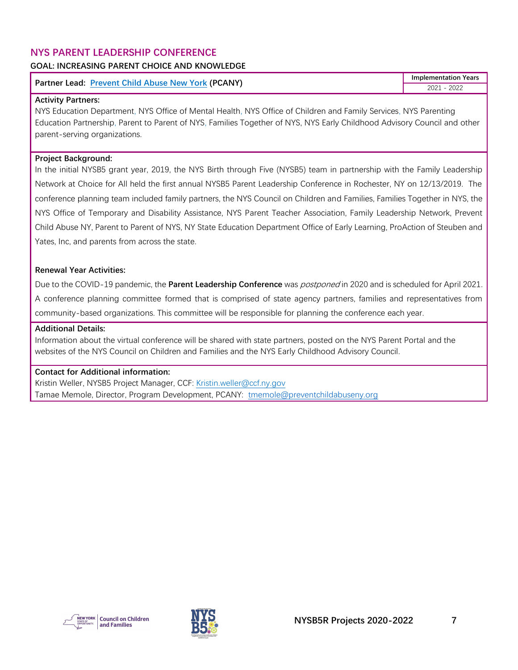## <span id="page-7-0"></span>**NYS PARENT LEADERSHIP CONFERENCE**

#### **GOAL: INCREASING PARENT CHOICE AND KNOWLEDGE**

## **Partner Lead: [Prevent Child Abuse New York](https://www.preventchildabuseny.org/) (PCANY)**

**Implementation Years** 2021 - 2022

#### **Activity Partners:**

NYS Education Department, NYS Office of Mental Health, NYS Office of Children and Family Services, NYS Parenting Education Partnership, Parent to Parent of NYS, Families Together of NYS, NYS Early Childhood Advisory Council and other parent-serving organizations.

#### **Project Background:**

In the initial NYSB5 grant year, 2019, the NYS Birth through Five (NYSB5) team in partnership with the Family Leadership Network at Choice for All held the first annual NYSB5 Parent Leadership Conference in Rochester, NY on 12/13/2019. The conference planning team included family partners, the NYS Council on Children and Families, Families Together in NYS, the NYS Office of Temporary and Disability Assistance, NYS Parent Teacher Association, Family Leadership Network, Prevent Child Abuse NY, Parent to Parent of NYS, NY State Education Department Office of Early Learning, ProAction of Steuben and Yates, Inc, and parents from across the state.

#### **Renewal Year Activities:**

Due to the COVID-19 pandemic, the **Parent Leadership Conference** was postponed in 2020 and is scheduled for April 2021. A conference planning committee formed that is comprised of state agency partners, families and representatives from community-based organizations. This committee will be responsible for planning the conference each year.

#### **Additional Details:**

Information about the virtual conference will be shared with state partners, posted on the NYS Parent Portal and the websites of the NYS Council on Children and Families and the NYS Early Childhood Advisory Council.

#### **Contact for Additional information:**

Kristin Weller, NYSB5 Project Manager, CCF: [Kristin.weller@ccf.ny.gov](mailto:Kristin.weller@ccf.ny.gov) Tamae Memole, Director, Program Development, PCANY: [tmemole@preventchildabuseny.org](mailto:tmemole@preventchildabuseny.org)

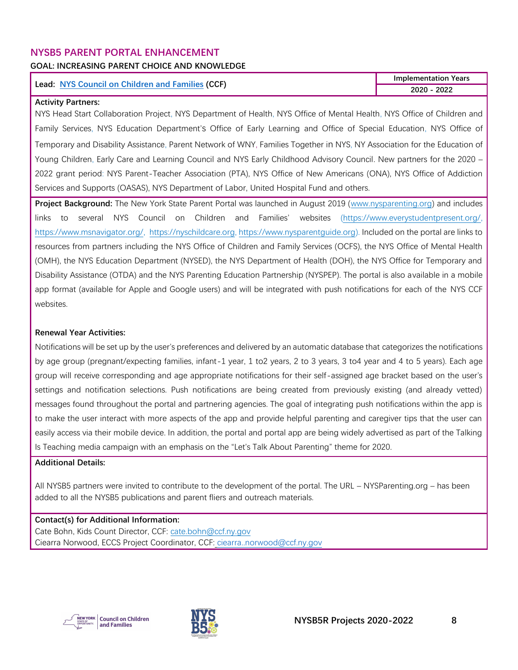### <span id="page-8-0"></span>**NYSB5 PARENT PORTAL ENHANCEMENT**

#### **GOAL: INCREASING PARENT CHOICE AND KNOWLEDGE**

#### **Lead: [NYS Council on Children and Families](http://www.ccf.ny.gov/) (CCF)**

**Implementation Years 2020 - 2022**

#### **Activity Partners:**

NYS Head Start Collaboration Project, NYS Department of Health, NYS Office of Mental Health, NYS Office of Children and Family Services, NYS Education Department's Office of Early Learning and Office of Special Education, NYS Office of Temporary and Disability Assistance, Parent Network of WNY, Families Together in NYS, NY Association for the Education of Young Children, Early Care and Learning Council and NYS Early Childhood Advisory Council. New partners for the 2020 -2022 grant period: NYS Parent-Teacher Association (PTA), NYS Office of New Americans (ONA), NYS Office of Addiction Services and Supports (OASAS), NYS Department of Labor, United Hospital Fund and others.

**Project Background:** The New York State Parent Portal was launched in August 2019 [\(www.nysparenting.org\)](http://www.nysparenting.org/) and includes links to several NYS Council on Children and Families' websites [\(https://www.everystudentpresent.org/,](https://www.everystudentpresent.org/)  [https://www.msnavigator.org/,](https://www.msnavigator.org/) [https://nyschildcare.org,](https://nyschildcare.org/) [https://www.nysparentguide.org\)](https://www.nysparentguide.org/). Included on the portal are links to resources from partners including the NYS Office of Children and Family Services (OCFS), the NYS Office of Mental Health (OMH), the NYS Education Department (NYSED), the NYS Department of Health (DOH), the NYS Office for Temporary and Disability Assistance (OTDA) and the NYS Parenting Education Partnership (NYSPEP). The portal is also available in a mobile app format (available for Apple and Google users) and will be integrated with push notifications for each of the NYS CCF websites.

#### **Renewal Year Activities:**

Notifications will be set up by the user's preferences and delivered by an automatic database that categorizes the notifications by age group (pregnant/expecting families, infant-1 year, 1 to2 years, 2 to 3 years, 3 to4 year and 4 to 5 years). Each age group will receive corresponding and age appropriate notifications for their self-assigned age bracket based on the user's settings and notification selections. Push notifications are being created from previously existing (and already vetted) messages found throughout the portal and partnering agencies. The goal of integrating push notifications within the app is to make the user interact with more aspects of the app and provide helpful parenting and caregiver tips that the user can easily access via their mobile device. In addition, the portal and portal app are being widely advertised as part of the Talking Is Teaching media campaign with an emphasis on the "Let's Talk About Parenting" theme for 2020.

#### **Additional Details:**

All NYSB5 partners were invited to contribute to the development of the portal. The URL – NYSParenting.org – has been added to all the NYSB5 publications and parent fliers and outreach materials.

#### **Contact(s) for Additional Information:**

Cate Bohn, Kids Count Director, CCF: [cate.bohn@ccf.ny.gov](mailto:cate.bohn@ccf.ny.gov) Ciearra Norwood, ECCS Project Coordinator, CCF: [ciearra..norwood@ccf.ny.gov](mailto:ciearra..norwood@ccf.ny.gov)



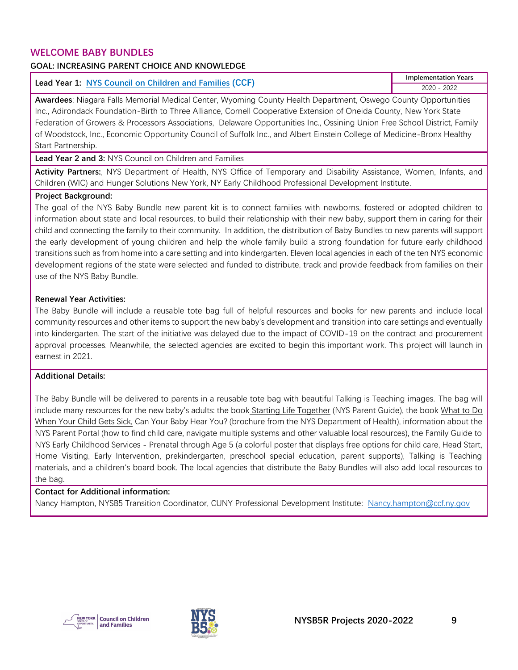#### <span id="page-9-0"></span>**WELCOME BABY BUNDLES**

#### **GOAL: INCREASING PARENT CHOICE AND KNOWLEDGE**

| Lead Year 1: NYS Council on Children and Families (CCF) | <b>Implementation Years</b> |
|---------------------------------------------------------|-----------------------------|
|                                                         | 2022<br>2020                |

**Awardees**: Niagara Falls Memorial Medical Center, Wyoming County Health Department, Oswego County Opportunities Inc., Adirondack Foundation-Birth to Three Alliance, Cornell Cooperative Extension of Oneida County, New York State Federation of Growers & Processors Associations, Delaware Opportunities Inc., Ossining Union Free School District, Family of Woodstock, Inc., Economic Opportunity Council of Suffolk Inc., and Albert Einstein College of Medicine-Bronx Healthy Start Partnership.

**Lead Year 2 and 3:** NYS Council on Children and Families

**Activity Partners:**, NYS Department of Health, NYS Office of Temporary and Disability Assistance, Women, Infants, and Children (WIC) and Hunger Solutions New York, NY Early Childhood Professional Development Institute.

#### **Project Background:**

The goal of the NYS Baby Bundle new parent kit is to connect families with newborns, fostered or adopted children to information about state and local resources, to build their relationship with their new baby, support them in caring for their child and connecting the family to their community. In addition, the distribution of Baby Bundles to new parents will support the early development of young children and help the whole family build a strong foundation for future early childhood transitions such as from home into a care setting and into kindergarten. Eleven local agencies in each of the ten NYS economic development regions of the state were selected and funded to distribute, track and provide feedback from families on their use of the NYS Baby Bundle.

#### **Renewal Year Activities:**

The Baby Bundle will include a reusable tote bag full of helpful resources and books for new parents and include local community resources and other items to support the new baby's development and transition into care settings and eventually into kindergarten. The start of the initiative was delayed due to the impact of COVID-19 on the contract and procurement approval processes. Meanwhile, the selected agencies are excited to begin this important work. This project will launch in earnest in 2021.

#### **Additional Details:**

The Baby Bundle will be delivered to parents in a reusable tote bag with beautiful Talking is Teaching images. The bag will include many resources for the new baby's adults: the book Starting Life Together (NYS Parent Guide), the book What to Do When Your Child Gets Sick, Can Your Baby Hear You? (brochure from the NYS Department of Health), information about the NYS Parent Portal (how to find child care, navigate multiple systems and other valuable local resources), the Family Guide to NYS Early Childhood Services - Prenatal through Age 5 (a colorful poster that displays free options for child care, Head Start, Home Visiting, Early Intervention, prekindergarten, preschool special education, parent supports), Talking is Teaching materials, and a children's board book. The local agencies that distribute the Baby Bundles will also add local resources to the bag.

#### **Contact for Additional information:**

Nancy Hampton, NYSB5 Transition Coordinator, CUNY Professional Development Institute: [Nancy.hampton@ccf.ny.gov](mailto:Nancy.hampton@ccf.ny.gov)



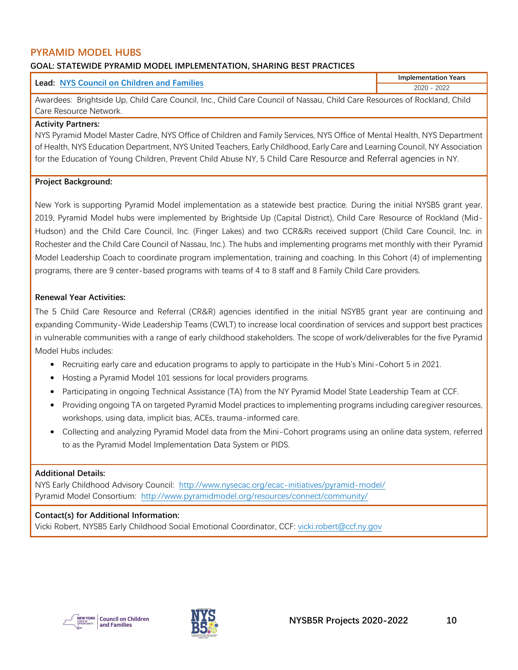## <span id="page-10-0"></span>**PYRAMID MODEL HUBS**

#### **GOAL: STATEWIDE PYRAMID MODEL IMPLEMENTATION, SHARING BEST PRACTICES**

| <b>Lead: NYS Council on Children and Families</b>                                                                        | <b>Implementation Years</b> |
|--------------------------------------------------------------------------------------------------------------------------|-----------------------------|
|                                                                                                                          | 2020 - 2022                 |
| Awardees: Brightside Up, Child Care Council, Inc., Child Care Council of Nassau, Child Care Resources of Rockland, Child |                             |
| Care Resource Network.                                                                                                   |                             |

#### **Activity Partners:**

NYS Pyramid Model Master Cadre, NYS Office of Children and Family Services, NYS Office of Mental Health, NYS Department of Health, NYS Education Department, NYS United Teachers, Early Childhood, Early Care and Learning Council, NY Association for the Education of Young Children, Prevent Child Abuse NY, 5 Child Care Resource and Referral agencies in NY.

#### **Project Background:**

New York is supporting Pyramid Model implementation as a statewide best practice. During the initial NYSB5 grant year, 2019, Pyramid Model hubs were implemented by Brightside Up (Capital District), Child Care Resource of Rockland (Mid-Hudson) and the Child Care Council, Inc. (Finger Lakes) and two CCR&Rs received support (Child Care Council, Inc. in Rochester and the Child Care Council of Nassau, Inc.). The hubs and implementing programs met monthly with their Pyramid Model Leadership Coach to coordinate program implementation, training and coaching. In this Cohort (4) of implementing programs, there are 9 center-based programs with teams of 4 to 8 staff and 8 Family Child Care providers.

#### **Renewal Year Activities:**

The 5 Child Care Resource and Referral (CR&R) agencies identified in the initial NSYB5 grant year are continuing and expanding Community-Wide Leadership Teams (CWLT) to increase local coordination of services and support best practices in vulnerable communities with a range of early childhood stakeholders. The scope of work/deliverables for the five Pyramid Model Hubs includes:

- Recruiting early care and education programs to apply to participate in the Hub's Mini-Cohort 5 in 2021.
- Hosting a Pyramid Model 101 sessions for local providers programs.
- Participating in ongoing Technical Assistance (TA) from the NY Pyramid Model State Leadership Team at CCF.
- Providing ongoing TA on targeted Pyramid Model practices to implementing programs including caregiver resources, workshops, using data, implicit bias, ACEs, trauma-informed care.
- Collecting and analyzing Pyramid Model data from the Mini-Cohort programs using an online data system, referred to as the Pyramid Model Implementation Data System or PIDS.

#### **Additional Details:**

NYS Early Childhood Advisory Council: <http://www.nysecac.org/ecac-initiatives/pyramid-model/> Pyramid Model Consortium: <http://www.pyramidmodel.org/resources/connect/community/>

#### **Contact(s) for Additional Information:**

Vicki Robert, NYSB5 Early Childhood Social Emotional Coordinator, CCF: [vicki.robert@ccf.ny.gov](mailto:vicki.robert@ccf.ny.gov)



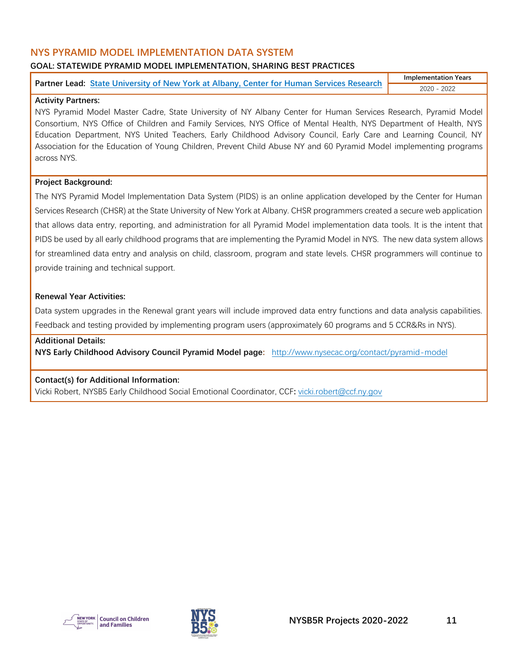### <span id="page-11-0"></span>**NYS PYRAMID MODEL IMPLEMENTATION DATA SYSTEM**

#### **GOAL: STATEWIDE PYRAMID MODEL IMPLEMENTATION, SHARING BEST PRACTICES**

| Partner Lead: State University of New York at Albany, Center for Human Services Research | <b>Implementation Years</b> |
|------------------------------------------------------------------------------------------|-----------------------------|
|                                                                                          |                             |

#### **Activity Partners:**

NYS Pyramid Model Master Cadre, State University of NY Albany Center for Human Services Research, Pyramid Model Consortium, NYS Office of Children and Family Services, NYS Office of Mental Health, NYS Department of Health, NYS Education Department, NYS United Teachers, Early Childhood Advisory Council, Early Care and Learning Council, NY Association for the Education of Young Children, Prevent Child Abuse NY and 60 Pyramid Model implementing programs across NYS.

#### **Project Background:**

The NYS Pyramid Model Implementation Data System (PIDS) is an online application developed by the Center for Human Services Research (CHSR) at the State University of New York at Albany. CHSR programmers created a secure web application that allows data entry, reporting, and administration for all Pyramid Model implementation data tools. It is the intent that PIDS be used by all early childhood programs that are implementing the Pyramid Model in NYS. The new data system allows for streamlined data entry and analysis on child, classroom, program and state levels. CHSR programmers will continue to provide training and technical support.

#### **Renewal Year Activities:**

Data system upgrades in the Renewal grant years will include improved data entry functions and data analysis capabilities. Feedback and testing provided by implementing program users (approximately 60 programs and 5 CCR&Rs in NYS).

#### **Additional Details:**

**NYS Early Childhood Advisory Council Pyramid Model page:** <http://www.nysecac.org/contact/pyramid-model>

#### **Contact(s) for Additional Information:**

Vicki Robert, NYSB5 Early Childhood Social Emotional Coordinator, CCF**:** [vicki.robert@ccf.ny.gov](mailto:vicki.robert@ccf.ny.gov)



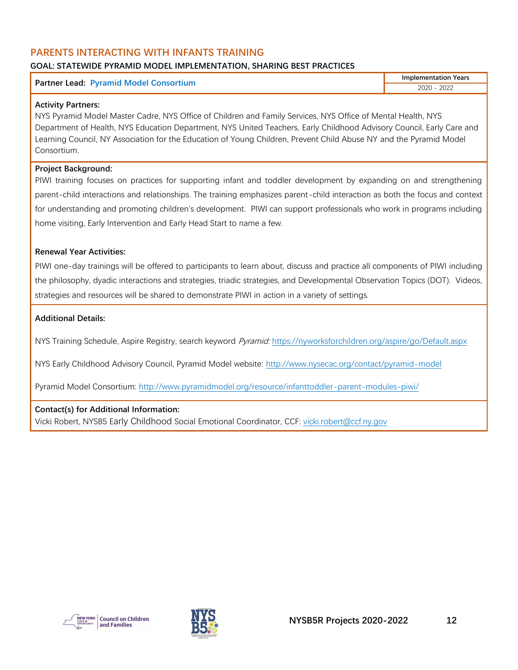#### <span id="page-12-0"></span>**PARENTS INTERACTING WITH INFANTS TRAINING GOAL: STATEWIDE PYRAMID MODEL IMPLEMENTATION, SHARING BEST PRACTICES**

#### **Partner Lead: Pyramid Model Consortium**

**Implementation Years** 2020 - 2022

#### **Activity Partners:**

NYS Pyramid Model Master Cadre, NYS Office of Children and Family Services, NYS Office of Mental Health, NYS Department of Health, NYS Education Department, NYS United Teachers, Early Childhood Advisory Council, Early Care and Learning Council, NY Association for the Education of Young Children, Prevent Child Abuse NY and the Pyramid Model Consortium.

#### **Project Background:**

PIWI training focuses on practices for supporting infant and toddler development by expanding on and strengthening parent-child interactions and relationships. The training emphasizes parent-child interaction as both the focus and context for understanding and promoting children's development. PIWI can support professionals who work in programs including home visiting, Early Intervention and Early Head Start to name a few.

#### **Renewal Year Activities:**

PIWI one-day trainings will be offered to participants to learn about, discuss and practice all components of PIWI including the philosophy, dyadic interactions and strategies, triadic strategies, and Developmental Observation Topics (DOT). Videos, strategies and resources will be shared to demonstrate PIWI in action in a variety of settings.

#### **Additional Details:**

NYS Training Schedule, Aspire Registry, search keyword *Pyramid:* <https://nyworksforchildren.org/aspire/go/Default.aspx>

NYS Early Childhood Advisory Council, Pyramid Model website: <http://www.nysecac.org/contact/pyramid-model>

Pyramid Model Consortium: <http://www.pyramidmodel.org/resource/infanttoddler-parent-modules-piwi/>

#### **Contact(s) for Additional Information:**

Vicki Robert, NYSB5 Early Childhood Social Emotional Coordinator, CCF: [vicki.robert@ccf.ny.gov](mailto:vicki.robert@ccf.ny.gov)



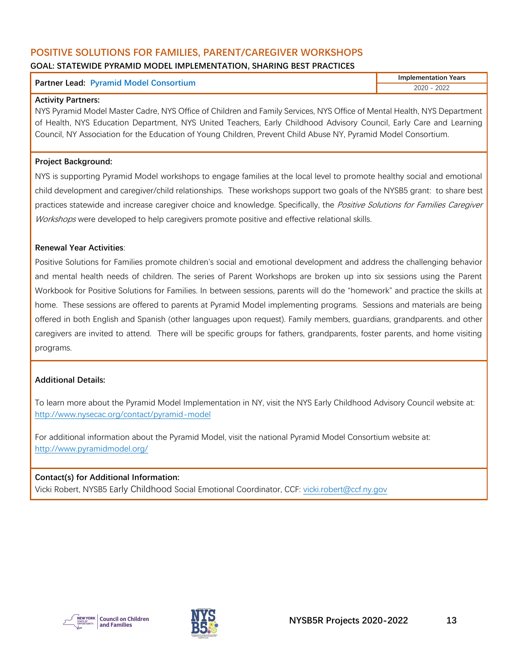#### <span id="page-13-0"></span>**POSITIVE SOLUTIONS FOR FAMILIES, PARENT/CAREGIVER WORKSHOPS GOAL: STATEWIDE PYRAMID MODEL IMPLEMENTATION, SHARING BEST PRACTICES**

|                                               | <b>Implementation Years</b> |
|-----------------------------------------------|-----------------------------|
| <b>Partner Lead: Pyramid Model Consortium</b> | 2022                        |

#### **Activity Partners:**

NYS Pyramid Model Master Cadre, NYS Office of Children and Family Services, NYS Office of Mental Health, NYS Department of Health, NYS Education Department, NYS United Teachers, Early Childhood Advisory Council, Early Care and Learning Council, NY Association for the Education of Young Children, Prevent Child Abuse NY, Pyramid Model Consortium.

#### **Project Background:**

NYS is supporting Pyramid Model workshops to engage families at the local level to promote healthy social and emotional child development and caregiver/child relationships. These workshops support two goals of the NYSB5 grant: to share best practices statewide and increase caregiver choice and knowledge. Specifically, the Positive Solutions for Families Caregiver Workshops were developed to help caregivers promote positive and effective relational skills.

#### **Renewal Year Activities**:

Positive Solutions for Families promote children's social and emotional development and address the challenging behavior and mental health needs of children. The series of Parent Workshops are broken up into six sessions using the Parent Workbook for Positive Solutions for Families. In between sessions, parents will do the "homework" and practice the skills at home. These sessions are offered to parents at Pyramid Model implementing programs. Sessions and materials are being offered in both English and Spanish (other languages upon request). Family members, guardians, grandparents. and other caregivers are invited to attend. There will be specific groups for fathers, grandparents, foster parents, and home visiting programs.

#### **Additional Details:**

To learn more about the Pyramid Model Implementation in NY, visit the NYS Early Childhood Advisory Council website at: <http://www.nysecac.org/contact/pyramid-model>

For additional information about the Pyramid Model, visit the national Pyramid Model Consortium website at: <http://www.pyramidmodel.org/>

#### **Contact(s) for Additional Information:** Vicki Robert, NYSB5 Early Childhood Social Emotional Coordinator, CCF: [vicki.robert@ccf.ny.gov](mailto:vicki.robert@ccf.ny.gov)



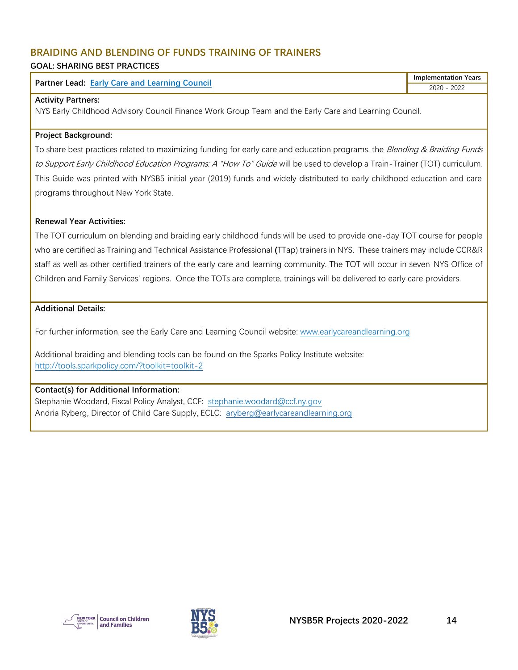## <span id="page-14-0"></span>**BRAIDING AND BLENDING OF FUNDS TRAINING OF TRAINERS**

#### **GOAL: SHARING BEST PRACTICES**

| Partner<br>Council<br>∟ead:<br><b>Farly Care and Learning</b> | Years<br>Implementation |
|---------------------------------------------------------------|-------------------------|
|                                                               | 2022<br>$\sim$          |
|                                                               |                         |

#### **Activity Partners:**

NYS Early Childhood Advisory Council Finance Work Group Team and the Early Care and Learning Council.

#### **Project Background:**

To share best practices related to maximizing funding for early care and education programs, the Blending & Braiding Funds to Support Early Childhood Education Programs: A "How To" Guide will be used to develop a Train-Trainer (TOT) curriculum. This Guide was printed with NYSB5 initial year (2019) funds and widely distributed to early childhood education and care programs throughout New York State.

#### **Renewal Year Activities:**

The TOT curriculum on blending and braiding early childhood funds will be used to provide one-day TOT course for people who are certified as Training and Technical Assistance Professional **(**TTap) trainers in NYS. These trainers may include CCR&R staff as well as other certified trainers of the early care and learning community. The TOT will occur in seven NYS Office of Children and Family Services' regions. Once the TOTs are complete, trainings will be delivered to early care providers.

#### **Additional Details:**

For further information, see the Early Care and Learning Council website: [www.earlycareandlearning.org](http://www.earlycareandlearning.org/)

Additional braiding and blending tools can be found on the Sparks Policy Institute website: <http://tools.sparkpolicy.com/?toolkit=toolkit-2>

#### **Contact(s) for Additional Information:**

Stephanie Woodard, Fiscal Policy Analyst, CCF: [stephanie.woodard@ccf.ny.gov](mailto:stephanie.woodard@ccf.ny.gov) Andria Ryberg, Director of Child Care Supply, ECLC: [aryberg@earlycareandlearning.org](mailto:aryberg@earlycareandlearning.org)



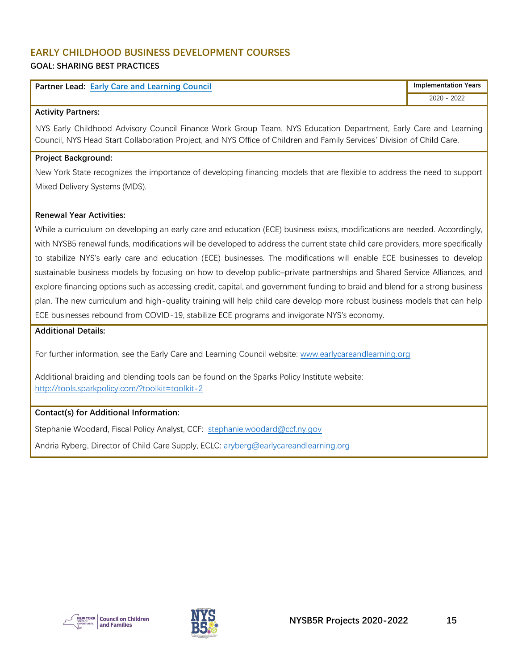#### <span id="page-15-0"></span>**EARLY CHILDHOOD BUSINESS DEVELOPMENT COURSES GOAL: SHARING BEST PRACTICES**

| <b>Partner Lead: Early Care and Learning Council</b> | <b>Implementation Years</b> |
|------------------------------------------------------|-----------------------------|
|                                                      | 2020 - 2022                 |

#### **Activity Partners:**

NYS Early Childhood Advisory Council Finance Work Group Team, NYS Education Department, Early Care and Learning Council, NYS Head Start Collaboration Project, and NYS Office of Children and Family Services' Division of Child Care.

#### **Project Background:**

New York State recognizes the importance of developing financing models that are flexible to address the need to support Mixed Delivery Systems (MDS).

#### **Renewal Year Activities:**

While a curriculum on developing an early care and education (ECE) business exists, modifications are needed. Accordingly, with NYSB5 renewal funds, modifications will be developed to address the current state child care providers, more specifically to stabilize NYS's early care and education (ECE) businesses. The modifications will enable ECE businesses to develop sustainable business models by focusing on how to develop public–private partnerships and Shared Service Alliances, and explore financing options such as accessing credit, capital, and government funding to braid and blend for a strong business plan. The new curriculum and high-quality training will help child care develop more robust business models that can help ECE businesses rebound from COVID-19, stabilize ECE programs and invigorate NYS's economy.

#### **Additional Details:**

For further information, see the Early Care and Learning Council website: [www.earlycareandlearning.org](http://www.earlycareandlearning.org/)

Additional braiding and blending tools can be found on the Sparks Policy Institute website: <http://tools.sparkpolicy.com/?toolkit=toolkit-2>

#### **Contact(s) for Additional Information:**

Stephanie Woodard, Fiscal Policy Analyst, CCF: [stephanie.woodard@ccf.ny.gov](mailto:stephanie.woodard@ccf.ny.gov)

Andria Ryberg, Director of Child Care Supply, ECLC: [aryberg@earlycareandlearning.org](mailto:aryberg@earlycareandlearning.org)

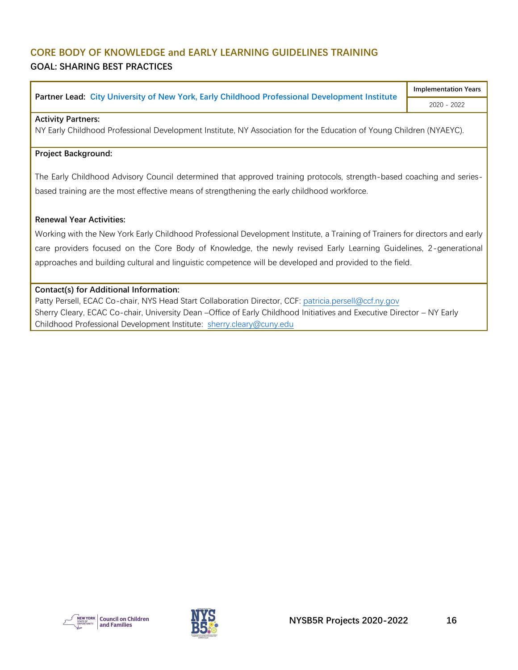## <span id="page-16-0"></span>**CORE BODY OF KNOWLEDGE and EARLY LEARNING GUIDELINES TRAINING GOAL: SHARING BEST PRACTICES**

**Partner Lead: [City University of New York, Early Childhood Professional Development Institute](https://www.earlychildhoodny.org/)**

**Implementation Years** 2020 - 2022

#### **Activity Partners:**

NY Early Childhood Professional Development Institute, NY Association for the Education of Young Children (NYAEYC).

#### **Project Background:**

The Early Childhood Advisory Council determined that approved training protocols, strength-based coaching and seriesbased training are the most effective means of strengthening the early childhood workforce.

#### **Renewal Year Activities:**

Working with the New York Early Childhood Professional Development Institute, a Training of Trainers for directors and early care providers focused on the Core Body of Knowledge, the newly revised Early Learning Guidelines, 2-generational approaches and building cultural and linguistic competence will be developed and provided to the field.

#### **Contact(s) for Additional Information:**

Patty Persell, ECAC Co-chair, NYS Head Start Collaboration Director, CCF: [patricia.persell@ccf.ny.gov](mailto:patricia.persell@ccf.ny.gov) Sherry Cleary, ECAC Co-chair, University Dean –Office of Early Childhood Initiatives and Executive Director – NY Early Childhood Professional Development Institute: sherry.cleary@cuny.edu



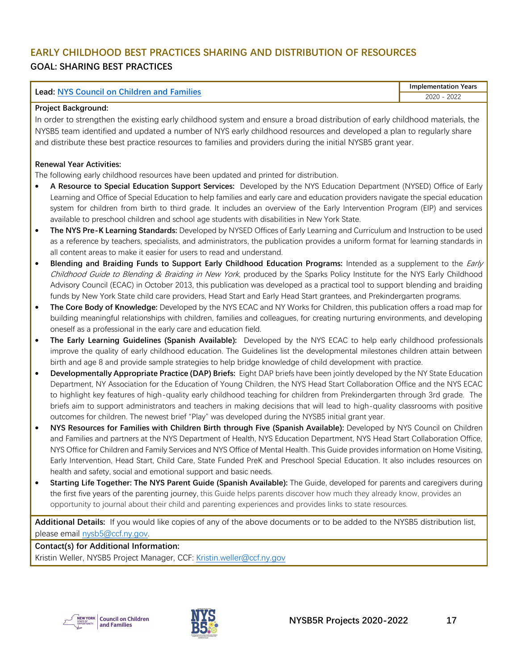## <span id="page-17-0"></span>**EARLY CHILDHOOD BEST PRACTICES SHARING AND DISTRIBUTION OF RESOURCES GOAL: SHARING BEST PRACTICES**

| <b>Lead: NYS Council on Children and Families</b> |  |
|---------------------------------------------------|--|
|---------------------------------------------------|--|

**Implementation Years** 2020 - 2022

#### **Project Background:**

In order to strengthen the existing early childhood system and ensure a broad distribution of early childhood materials, the NYSB5 team identified and updated a number of NYS early childhood resources and developed a plan to regularly share and distribute these best practice resources to families and providers during the initial NYSB5 grant year.

#### **Renewal Year Activities:**

The following early childhood resources have been updated and printed for distribution.

- **A Resource to Special Education Support Services:** Developed by the NYS Education Department (NYSED) Office of Early Learning and Office of Special Education to help families and early care and education providers navigate the special education system for children from birth to third grade. It includes an overview of the Early Intervention Program (EIP) and services available to preschool children and school age students with disabilities in New York State.
- **The NYS Pre-K Learning Standards:** Developed by NYSED Offices of Early Learning and Curriculum and Instruction to be used as a reference by teachers, specialists, and administrators, the publication provides a uniform format for learning standards in all content areas to make it easier for users to read and understand.
- **Blending and Braiding Funds to Support Early Childhood Education Programs:** Intended as a supplement to the Early Childhood Guide to Blending & Braiding in New York, produced by the Sparks Policy Institute for the NYS Early Childhood Advisory Council (ECAC) in October 2013, this publication was developed as a practical tool to support blending and braiding funds by New York State child care providers, Head Start and Early Head Start grantees, and Prekindergarten programs.
- **The Core Body of Knowledge:** Developed by the NYS ECAC and NY Works for Children, this publication offers a road map for building meaningful relationships with children, families and colleagues, for creating nurturing environments, and developing oneself as a professional in the early care and education field.
- **The Early Learning Guidelines (Spanish Available):** Developed by the NYS ECAC to help early childhood professionals improve the quality of early childhood education. The Guidelines list the developmental milestones children attain between birth and age 8 and provide sample strategies to help bridge knowledge of child development with practice.
- **Developmentally Appropriate Practice (DAP) Briefs:** Eight DAP briefs have been jointly developed by the NY State Education Department, NY Association for the Education of Young Children, the NYS Head Start Collaboration Office and the NYS ECAC to highlight key features of high-quality early childhood teaching for children from Prekindergarten through 3rd grade. The briefs aim to support administrators and teachers in making decisions that will lead to high-quality classrooms with positive outcomes for children. The newest brief "Play" was developed during the NYSB5 initial grant year.
- **NYS Resources for Families with Children Birth through Five (Spanish Available):** Developed by NYS Council on Children and Families and partners at the NYS Department of Health, NYS Education Department, NYS Head Start Collaboration Office, NYS Office for Children and Family Services and NYS Office of Mental Health. This Guide provides information on Home Visiting, Early Intervention, Head Start, Child Care, State Funded PreK and Preschool Special Education. It also includes resources on health and safety, social and emotional support and basic needs.
- **Starting Life Together: The NYS Parent Guide (Spanish Available):** The Guide, developed for parents and caregivers during the first five years of the parenting journey, this Guide helps parents discover how much they already know, provides an opportunity to journal about their child and parenting experiences and provides links to state resources.

**Additional Details:** If you would like copies of any of the above documents or to be added to the NYSB5 distribution list, please email [nysb5@ccf.ny.gov.](mailto:nysb5@ccf.ny.gov)

**Contact(s) for Additional Information:** Kristin Weller, NYSB5 Project Manager, CCF: [Kristin.weller@ccf.ny.gov](mailto:Kristin.weller@ccf.ny.gov)



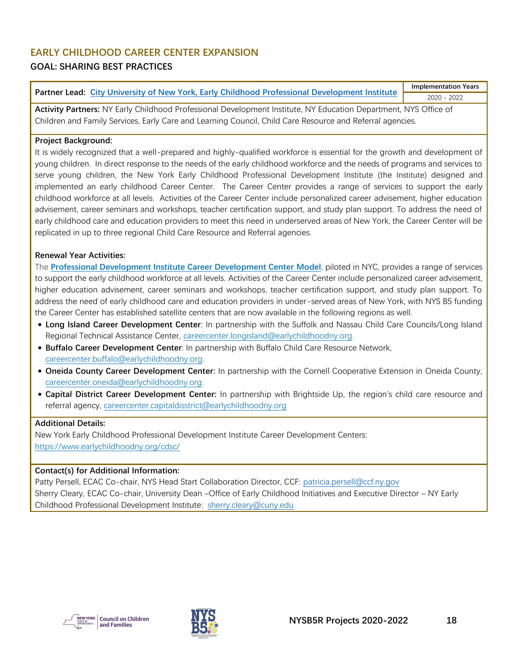## <span id="page-18-0"></span>**EARLY CHILDHOOD CAREER CENTER EXPANSION**

## **GOAL: SHARING BEST PRACTICES**

**Partner Lead: [City University of New York, Early Childhood Professional Development Institute](https://www.earlychildhoodny.org/) Implementation Years** 2020 - 2022

**Activity Partners:** NY Early Childhood Professional Development Institute, NY Education Department, NYS Office of Children and Family Services, Early Care and Learning Council, Child Care Resource and Referral agencies.

#### **Project Background:**

It is widely recognized that a well-prepared and highly-qualified workforce is essential for the growth and development of young children. In direct response to the needs of the early childhood workforce and the needs of programs and services to serve young children, the New York Early Childhood Professional Development Institute (the Institute) designed and implemented an early childhood Career Center. The Career Center provides a range of services to support the early childhood workforce at all levels. Activities of the Career Center include personalized career advisement, higher education advisement, career seminars and workshops, teacher certification support, and study plan support. To address the need of early childhood care and education providers to meet this need in underserved areas of New York, the Career Center will be replicated in up to three regional Child Care Resource and Referral agencies.

#### **Renewal Year Activities:**

The **[Professional Development Institute Career Development Center](https://urldefense.proofpoint.com/v2/url?u=https-3A__earlychildhoodny.org_cdsc_index.php-3Fteam-3DCDSC&d=DwMFAg&c=mRWFL96tuqj9V0Jjj4h40ddo0XsmttALwKjAEOCyUjY&r=3euzfvzFRdzcf7jak8MdrxRmesJMLAHlN5GuAs9AISU&m=S_vFvyz5GiwkTx-oOaxWuw06D_eazZ4_zcNZNmkPNTU&s=S-gvsqczhMREgk-KuQPdvuM4r4tBJTGk1x2PmviQ0Rw&e=) Model**, piloted in NYC, provides a range of services to support the early childhood workforce at all levels. Activities of the Career Center include personalized career advisement, higher education advisement, career seminars and workshops, teacher certification support, and study plan support. To address the need of early childhood care and education providers in under-served areas of New York, with NYS B5 funding the Career Center has established satellite centers that are now available in the following regions as well.

- **Long Island Career Development Center**: In partnership with the Suffolk and Nassau Child Care Councils/Long Island Regional Technical Assistance Center, [careercenter.longisland@earlychildhoodny.org.](mailto:careercenter.longisland@earlychildhoodny.org)
- **Buffalo Career Development Center**: In partnership with Buffalo Child Care Resource Network, [careercenter.buffalo@earlychildhoodny.org.](mailto:careercenter.buffalo@earlychildhoodny.org)
- **Oneida County Career Development Center:** In partnership with the Cornell Cooperative Extension in Oneida County, [careercenter.oneida@earlychildhoodny.org.](mailto:careercenter.oneida@earlychildhoodny.org)
- **Capital District Career Development Center:** In partnership with Brightside Up, the region's child care resource and referral agency, [careercenter.capitaldisstrict@earlychildhoodny.org](mailto:careercenter.capitaldisstrict@earlychildhoodny.org)

#### **Additional Details:**

New York Early Childhood Professional Development Institute Career Development Centers: <https://www.earlychildhoodny.org/cdsc/>

#### **Contact(s) for Additional Information:**

Patty Persell, ECAC Co-chair, NYS Head Start Collaboration Director, CCF: [patricia.persell@ccf.ny.gov](mailto:patricia.persell@ccf.ny.gov) Sherry Cleary, ECAC Co-chair, University Dean –Office of Early Childhood Initiatives and Executive Director – NY Early Childhood Professional Development Institute: sherry.cleary@cuny.edu



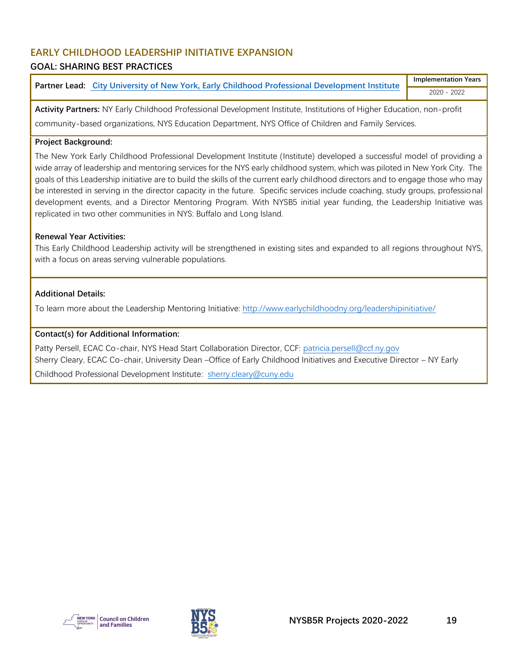## <span id="page-19-0"></span>**EARLY CHILDHOOD LEADERSHIP INITIATIVE EXPANSION**

## **GOAL: SHARING BEST PRACTICES**

**Partner Lead: [City University of New York, Early Childhood Professional Development Institute](https://www.earlychildhoodny.org/) Implementation Years** 2020 - 2022

**Activity Partners:** NY Early Childhood Professional Development Institute, Institutions of Higher Education, non-profit community-based organizations, NYS Education Department, NYS Office of Children and Family Services.

#### **Project Background:**

The New York Early Childhood Professional Development Institute (Institute) developed a successful model of providing a wide array of leadership and mentoring services for the NYS early childhood system, which was piloted in New York City. The goals of this Leadership initiative are to build the skills of the current early childhood directors and to engage those who may be interested in serving in the director capacity in the future. Specific services include coaching, study groups, professional development events, and a Director Mentoring Program. With NYSB5 initial year funding, the Leadership Initiative was replicated in two other communities in NYS: Buffalo and Long Island.

#### **Renewal Year Activities:**

This Early Childhood Leadership activity will be strengthened in existing sites and expanded to all regions throughout NYS, with a focus on areas serving vulnerable populations.

#### **Additional Details:**

To learn more about the Leadership Mentoring Initiative:<http://www.earlychildhoodny.org/leadershipinitiative/>

#### **Contact(s) for Additional Information:**

Patty Persell, ECAC Co-chair, NYS Head Start Collaboration Director, CCF: [patricia.persell@ccf.ny.gov](mailto:patricia.persell@ccf.ny.gov) Sherry Cleary, ECAC Co-chair, University Dean –Office of Early Childhood Initiatives and Executive Director – NY Early

Childhood Professional Development Institute: [sherry.cleary@cuny.edu](mailto:sherry.cleary@cuny.edu)



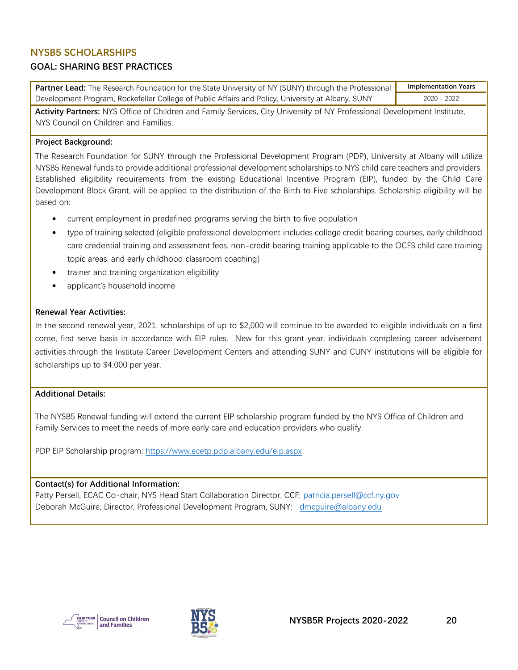## <span id="page-20-0"></span>**NYSB5 SCHOLARSHIPS**

### **GOAL: SHARING BEST PRACTICES**

**Partner Lead:** The Research Foundation for the State University of NY (SUNY) through the Professional Development Program, Rockefeller College of Public Affairs and Policy, University at Albany, SUNY **Implementation Years** 2020 - 2022

**Activity Partners:** NYS Office of Children and Family Services, City University of NY Professional Development Institute, NYS Council on Children and Families.

#### **Project Background:**

The Research Foundation for SUNY through the Professional Development Program (PDP), University at Albany will utilize NYSB5 Renewal funds to provide additional professional development scholarships to NYS child care teachers and providers. Established eligibility requirements from the existing Educational Incentive Program (EIP), funded by the Child Care Development Block Grant, will be applied to the distribution of the Birth to Five scholarships. Scholarship eligibility will be based on:

- current employment in predefined programs serving the birth to five population
- type of training selected (eligible professional development includes college credit bearing courses, early childhood care credential training and assessment fees, non-credit bearing training applicable to the OCFS child care training topic areas, and early childhood classroom coaching)
- trainer and training organization eligibility
- applicant's household income

#### **Renewal Year Activities:**

In the second renewal year, 2021, scholarships of up to \$2,000 will continue to be awarded to eligible individuals on a first come, first serve basis in accordance with EIP rules. New for this grant year, individuals completing career advisement activities through the Institute Career Development Centers and attending SUNY and CUNY institutions will be eligible for scholarships up to \$4,000 per year.

#### **Additional Details:**

The NYSB5 Renewal funding will extend the current EIP scholarship program funded by the NYS Office of Children and Family Services to meet the needs of more early care and education providers who qualify.

PDP EIP Scholarship program:<https://www.ecetp.pdp.albany.edu/eip.aspx>

#### **Contact(s) for Additional Information:**

Patty Persell, ECAC Co-chair, NYS Head Start Collaboration Director, CCF: [patricia.persell@ccf.ny.gov](mailto:patricia.persell@ccf.ny.gov) Deborah McGuire, Director, Professional Development Program, SUNY: [dmcguire@albany.edu](mailto:dmcguire@albany.edu)



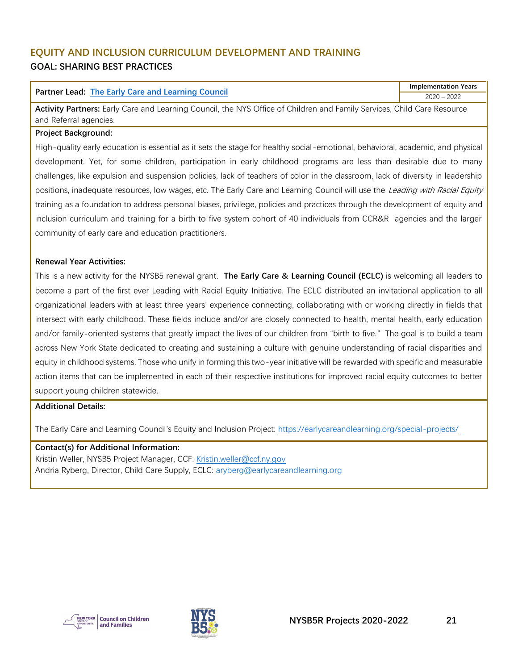## <span id="page-21-0"></span>**EQUITY AND INCLUSION CURRICULUM DEVELOPMENT AND TRAINING GOAL: SHARING BEST PRACTICES**

#### **Partner Lead: [The Early Care and Learning Council](https://earlycareandlearning.org/)**

**Implementation Years** 2020 – 2022

**Activity Partners:** Early Care and Learning Council, the NYS Office of Children and Family Services, Child Care Resource and Referral agencies.

#### **Project Background:**

High-quality early education is essential as it sets the stage for healthy social-emotional, behavioral, academic, and physical development. Yet, for some children, participation in early childhood programs are less than desirable due to many challenges, like expulsion and suspension policies, lack of teachers of color in the classroom, lack of diversity in leadership positions, inadequate resources, low wages, etc. The Early Care and Learning Council will use the Leading with Racial Equity training as a foundation to address personal biases, privilege, policies and practices through the development of equity and inclusion curriculum and training for a birth to five system cohort of 40 individuals from CCR&R agencies and the larger community of early care and education practitioners.

#### **Renewal Year Activities:**

This is a new activity for the NYSB5 renewal grant. **The Early Care & Learning Council (ECLC)** is welcoming all leaders to become a part of the first ever Leading with Racial Equity Initiative. The ECLC distributed an invitational application to all organizational leaders with at least three years' experience connecting, collaborating with or working directly in fields that intersect with early childhood. These fields include and/or are closely connected to health, mental health, early education and/or family-oriented systems that greatly impact the lives of our children from "birth to five." The goal is to build a team across New York State dedicated to creating and sustaining a culture with genuine understanding of racial disparities and equity in childhood systems. Those who unify in forming this two-year initiative will be rewarded with specific and measurable action items that can be implemented in each of their respective institutions for improved racial equity outcomes to better support young children statewide.

#### **Additional Details:**

The Early Care and Learning Council's Equity and Inclusion Project:<https://earlycareandlearning.org/special-projects/>

## **Contact(s) for Additional Information:** Kristin Weller, NYSB5 Project Manager, CCF: [Kristin.weller@ccf.ny.gov](mailto:Kristin.weller@ccf.ny.gov)





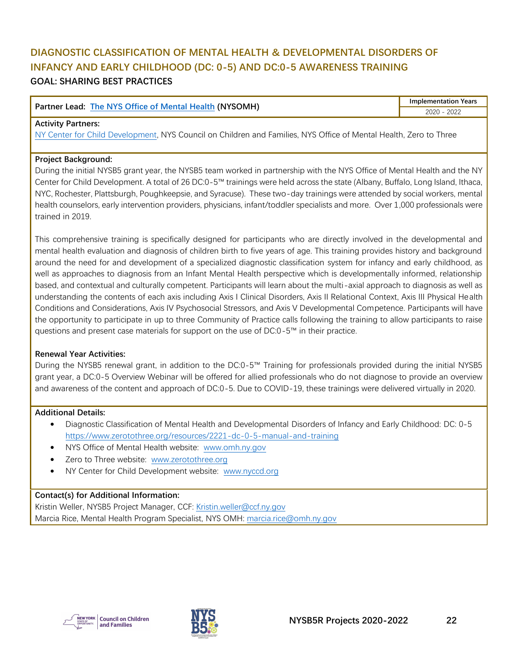## <span id="page-22-0"></span>**DIAGNOSTIC CLASSIFICATION OF MENTAL HEALTH & DEVELOPMENTAL DISORDERS OF INFANCY AND EARLY CHILDHOOD (DC: 0-5) AND DC:0-5 AWARENESS TRAINING GOAL: SHARING BEST PRACTICES**

| <b>Partner Lead: The NYS Office of Mental Health (NYSOMH)</b> | <b>Implementation Years</b> |
|---------------------------------------------------------------|-----------------------------|
|                                                               | 2022<br>2020                |

#### **Activity Partners:**

[NY Center for Child Development,](http://www.nyccd.org/) NYS Council on Children and Families, NYS Office of Mental Health, Zero to Three

#### **Project Background:**

During the initial NYSB5 grant year, the NYSB5 team worked in partnership with the NYS Office of Mental Health and the NY Center for Child Development. A total of 26 DC:0-5™ trainings were held across the state (Albany, Buffalo, Long Island, Ithaca, NYC, Rochester, Plattsburgh, Poughkeepsie, and Syracuse). These two-day trainings were attended by social workers, mental health counselors, early intervention providers, physicians, infant/toddler specialists and more. Over 1,000 professionals were trained in 2019.

This comprehensive training is specifically designed for participants who are directly involved in the developmental and mental health evaluation and diagnosis of children birth to five years of age. This training provides history and background around the need for and development of a specialized diagnostic classification system for infancy and early childhood, as well as approaches to diagnosis from an Infant Mental Health perspective which is developmentally informed, relationship based, and contextual and culturally competent. Participants will learn about the multi-axial approach to diagnosis as well as understanding the contents of each axis including Axis I Clinical Disorders, Axis II Relational Context, Axis III Physical Health Conditions and Considerations, Axis IV Psychosocial Stressors, and Axis V Developmental Competence. Participants will have the opportunity to participate in up to three Community of Practice calls following the training to allow participants to raise questions and present case materials for support on the use of DC:0-5™ in their practice.

#### **Renewal Year Activities:**

During the NYSB5 renewal grant, in addition to the DC:0-5™ Training for professionals provided during the initial NYSB5 grant year, a DC:0-5 Overview Webinar will be offered for allied professionals who do not diagnose to provide an overview and awareness of the content and approach of DC:0-5. Due to COVID-19, these trainings were delivered virtually in 2020.

#### **Additional Details:**

- Diagnostic Classification of Mental Health and Developmental Disorders of Infancy and Early Childhood: DC: 0-5 <https://www.zerotothree.org/resources/2221-dc-0-5-manual-and-training>
- NYS Office of Mental Health website: [www.omh.ny.gov](http://www.omh.ny.gov/)
- Zero to Three website: [www.zerotothree.org](http://www.zerotothree.org/)
- NY Center for Child Development website: [www.nyccd.org](http://www.nyccd.org/)

#### **Contact(s) for Additional Information:**

Kristin Weller, NYSB5 Project Manager, CCF: [Kristin.weller@ccf.ny.gov](mailto:Kristin.weller@ccf.ny.gov) Marcia Rice, Mental Health Program Specialist, NYS OMH: [marcia.rice@omh.ny.gov](mailto:marcia.rice@omh.ny.gov)



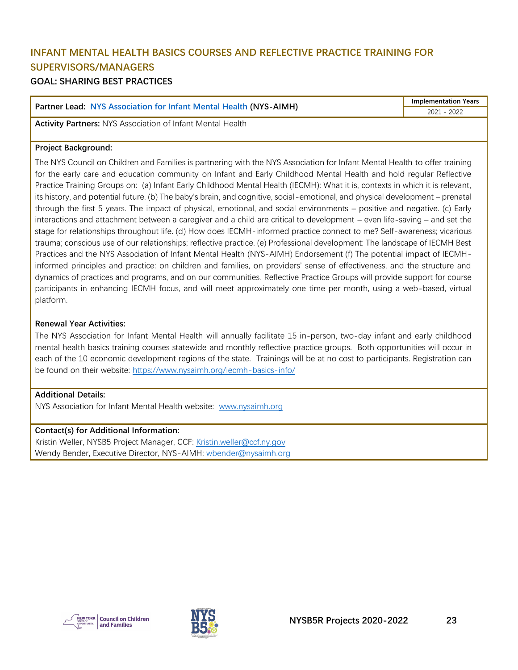## <span id="page-23-0"></span>**INFANT MENTAL HEALTH BASICS COURSES AND REFLECTIVE PRACTICE TRAINING FOR SUPERVISORS/MANAGERS**

## **GOAL: SHARING BEST PRACTICES**

| <b>Partner Lead: NYS Association for Infant Mental Health (NYS-AIMH)</b> | <b>Implementation Years</b> |
|--------------------------------------------------------------------------|-----------------------------|
|                                                                          | 2021 - 2022                 |

**Activity Partners:** NYS Association of Infant Mental Health

#### **Project Background:**

The NYS Council on Children and Families is partnering with the NYS Association for Infant Mental Health to offer training for the early care and education community on Infant and Early Childhood Mental Health and hold regular Reflective Practice Training Groups on: (a) Infant Early Childhood Mental Health (IECMH): What it is, contexts in which it is relevant, its history, and potential future. (b) The baby's brain, and cognitive, social-emotional, and physical development – prenatal through the first 5 years. The impact of physical, emotional, and social environments – positive and negative. (c) Early interactions and attachment between a caregiver and a child are critical to development – even life-saving – and set the stage for relationships throughout life. (d) How does IECMH-informed practice connect to me? Self-awareness; vicarious trauma; conscious use of our relationships; reflective practice. (e) Professional development: The landscape of IECMH Best Practices and the NYS Association of Infant Mental Health (NYS-AIMH) Endorsement (f) The potential impact of IECMHinformed principles and practice: on children and families, on providers' sense of effectiveness, and the structure and dynamics of practices and programs, and on our communities. Reflective Practice Groups will provide support for course participants in enhancing IECMH focus, and will meet approximately one time per month, using a web-based, virtual platform.

#### **Renewal Year Activities:**

The NYS Association for Infant Mental Health will annually facilitate 15 in-person, two-day infant and early childhood mental health basics training courses statewide and monthly reflective practice groups. Both opportunities will occur in each of the 10 economic development regions of the state. Trainings will be at no cost to participants. Registration can be found on their website:<https://www.nysaimh.org/iecmh-basics-info/>

#### **Additional Details:**

NYS Association for Infant Mental Health website: [www.nysaimh.org](http://www.nysaimh.org/)

#### **Contact(s) for Additional Information:**

Kristin Weller, NYSB5 Project Manager, CCF: [Kristin.weller@ccf.ny.gov](mailto:Kristin.weller@ccf.ny.gov) Wendy Bender, Executive Director, NYS-AIMH: [wbender@nysaimh.org](mailto:wbender@nysaimh.org)



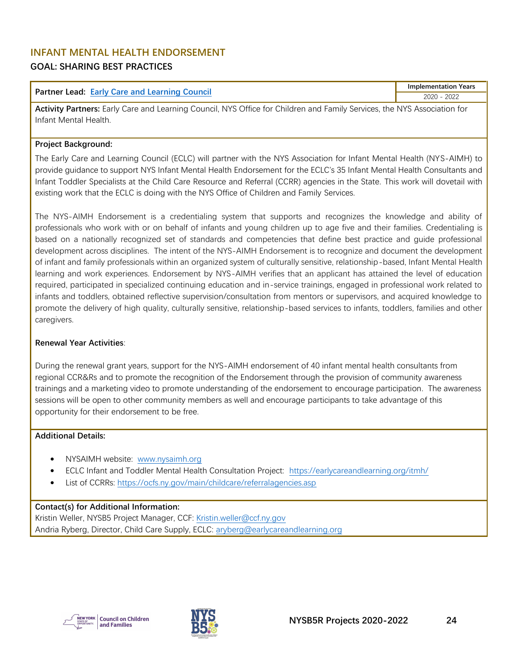## <span id="page-24-0"></span>**INFANT MENTAL HEALTH ENDORSEMENT GOAL: SHARING BEST PRACTICES**

|                                                         | <b>Implementation Years</b> |
|---------------------------------------------------------|-----------------------------|
| Partner Lead:<br><b>Early Care and Learning Council</b> | 2022<br>nnnn<br>LUZU        |

**Activity Partners:** Early Care and Learning Council, NYS Office for Children and Family Services, the NYS Association for Infant Mental Health.

#### **Project Background:**

The Early Care and Learning Council (ECLC) will partner with the NYS Association for Infant Mental Health (NYS-AIMH) to provide guidance to support NYS Infant Mental Health Endorsement for the ECLC's 35 Infant Mental Health Consultants and Infant Toddler Specialists at the Child Care Resource and Referral (CCRR) agencies in the State. This work will dovetail with existing work that the ECLC is doing with the NYS Office of Children and Family Services.

The NYS-AIMH Endorsement is a credentialing system that supports and recognizes the knowledge and ability of professionals who work with or on behalf of infants and young children up to age five and their families. Credentialing is based on a nationally recognized set of standards and competencies that define best practice and guide professional development across disciplines. The intent of the NYS-AIMH Endorsement is to recognize and document the development of infant and family professionals within an organized system of culturally sensitive, relationship-based, Infant Mental Health learning and work experiences. Endorsement by NYS-AIMH verifies that an applicant has attained the level of education required, participated in specialized continuing education and in-service trainings, engaged in professional work related to infants and toddlers, obtained reflective supervision/consultation from mentors or supervisors, and acquired knowledge to promote the delivery of high quality, culturally sensitive, relationship-based services to infants, toddlers, families and other caregivers.

#### **Renewal Year Activities**:

During the renewal grant years, support for the NYS-AIMH endorsement of 40 infant mental health consultants from regional CCR&Rs and to promote the recognition of the Endorsement through the provision of community awareness trainings and a marketing video to promote understanding of the endorsement to encourage participation. The awareness sessions will be open to other community members as well and encourage participants to take advantage of this opportunity for their endorsement to be free.

#### **Additional Details:**

- NYSAIMH website: [www.nysaimh.org](http://www.nysaimh.org/)
- ECLC Infant and Toddler Mental Health Consultation Project: <https://earlycareandlearning.org/itmh/>
- List of CCRRs[: https://ocfs.ny.gov/main/childcare/referralagencies.asp](https://ocfs.ny.gov/main/childcare/referralagencies.asp)

#### **Contact(s) for Additional Information:**

Kristin Weller, NYSB5 Project Manager, CCF: [Kristin.weller@ccf.ny.gov](mailto:Kristin.weller@ccf.ny.gov) Andria Ryberg, Director, Child Care Supply, ECLC: [aryberg@earlycareandlearning.org](mailto:aryberg@earlycareandlearning.org)



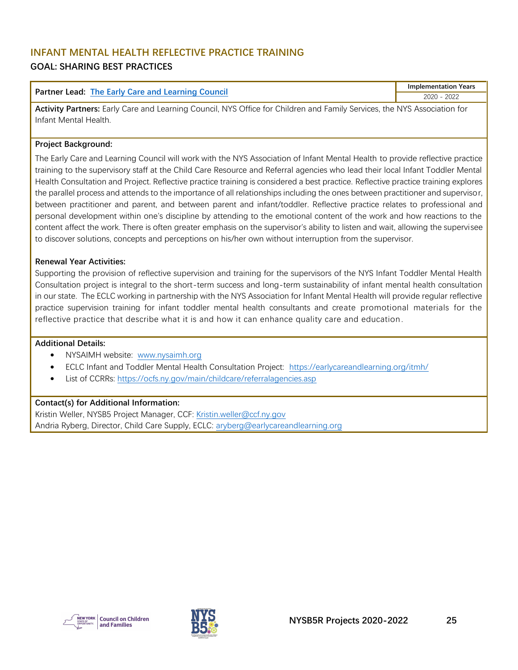## <span id="page-25-0"></span>**INFANT MENTAL HEALTH REFLECTIVE PRACTICE TRAINING**

## **GOAL: SHARING BEST PRACTICES**

|                                                          | <b>Implementation Years</b> |
|----------------------------------------------------------|-----------------------------|
| <b>Partner Lead: The Early Care and Learning Council</b> | 2022<br>2020                |

**Activity Partners:** Early Care and Learning Council, NYS Office for Children and Family Services, the NYS Association for Infant Mental Health.

#### **Project Background:**

The Early Care and Learning Council will work with the NYS Association of Infant Mental Health to provide reflective practice training to the supervisory staff at the Child Care Resource and Referral agencies who lead their local Infant Toddler Mental Health Consultation and Project. Reflective practice training is considered a best practice. Reflective practice training explores the parallel process and attends to the importance of all relationships including the ones between practitioner and supervisor, between practitioner and parent, and between parent and infant/toddler. Reflective practice relates to professional and personal development within one's discipline by attending to the emotional content of the work and how reactions to the content affect the work. There is often greater emphasis on the supervisor's ability to listen and wait, allowing the supervisee to discover solutions, concepts and perceptions on his/her own without interruption from the supervisor.

#### **Renewal Year Activities:**

Supporting the provision of reflective supervision and training for the supervisors of the NYS Infant Toddler Mental Health Consultation project is integral to the short-term success and long-term sustainability of infant mental health consultation in our state. The ECLC working in partnership with the NYS Association for Infant Mental Health will provide regular reflective practice supervision training for infant toddler mental health consultants and create promotional materials for the reflective practice that describe what it is and how it can enhance quality care and education.

#### **Additional Details:**

- NYSAIMH website: [www.nysaimh.org](http://www.nysaimh.org/)
- ECLC Infant and Toddler Mental Health Consultation Project: <https://earlycareandlearning.org/itmh/>
- List of CCRRs[: https://ocfs.ny.gov/main/childcare/referralagencies.asp](https://ocfs.ny.gov/main/childcare/referralagencies.asp)

#### **Contact(s) for Additional Information:**

Kristin Weller, NYSB5 Project Manager, CCF: [Kristin.weller@ccf.ny.gov](mailto:Kristin.weller@ccf.ny.gov) Andria Ryberg, Director, Child Care Supply, ECLC: [aryberg@earlycareandlearning.org](mailto:aryberg@earlycareandlearning.org)



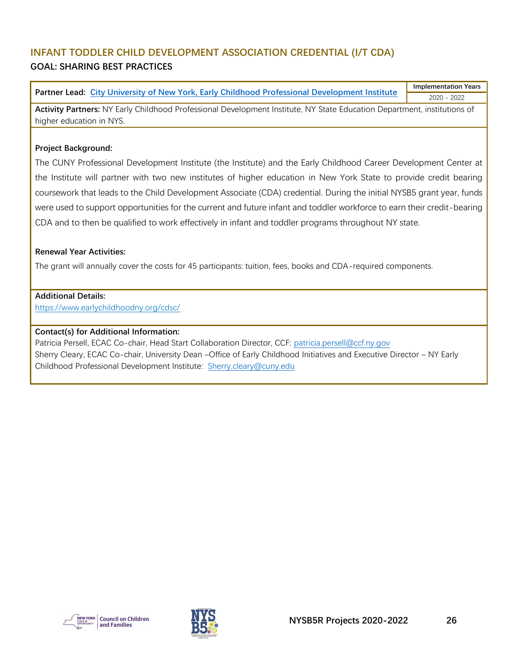## <span id="page-26-0"></span>**INFANT TODDLER CHILD DEVELOPMENT ASSOCIATION CREDENTIAL (I/T CDA) GOAL: SHARING BEST PRACTICES**

**Partner Lead: [City University of New York, Early Childhood Professional Development Institute](https://www.earlychildhoodny.org/) Implementation Years** 2020 - 2022

**Activity Partners:** NY Early Childhood Professional Development Institute, NY State Education Department, institutions of higher education in NYS.

#### **Project Background:**

The CUNY Professional Development Institute (the Institute) and the Early Childhood Career Development Center at the Institute will partner with two new institutes of higher education in New York State to provide credit bearing coursework that leads to the Child Development Associate (CDA) credential. During the initial NYSB5 grant year, funds were used to support opportunities for the current and future infant and toddler workforce to earn their credit-bearing CDA and to then be qualified to work effectively in infant and toddler programs throughout NY state.

#### **Renewal Year Activities:**

The grant will annually cover the costs for 45 participants: tuition, fees, books and CDA-required components.

## **Additional Details:**

<https://www.earlychildhoodny.org/cdsc/>

#### **Contact(s) for Additional Information:**

Patricia Persell, ECAC Co-chair, Head Start Collaboration Director, CCF: [patricia.persell@ccf.ny.gov](mailto:patricia.persell@ccf.ny.gov) Sherry Cleary, ECAC Co-chair, University Dean –Office of Early Childhood Initiatives and Executive Director – NY Early Childhood Professional Development Institute: Sherry.cleary@cuny.edu



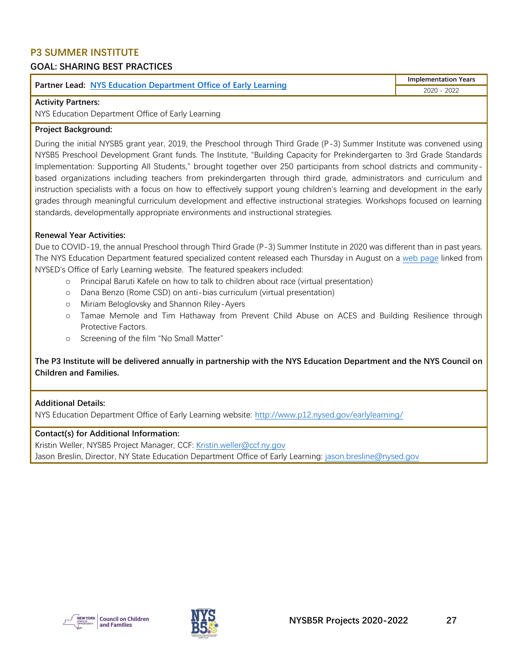## <span id="page-27-0"></span>**P3 SUMMER INSTITUTE**

## **GOAL: SHARING BEST PRACTICES**

**Partner Lead: [NYS Education Department Office of Early Learning](http://www.p12.nysed.gov/earlylearning/)**

**Implementation Years** 2020 - 2022

#### **Activity Partners:**

NYS Education Department Office of Early Learning

#### **Project Background:**

During the initial NYSB5 grant year, 2019, the Preschool through Third Grade (P-3) Summer Institute was convened using NYSB5 Preschool Development Grant funds. The Institute, "Building Capacity for Prekindergarten to 3rd Grade Standards Implementation: Supporting All Students," brought together over 250 participants from school districts and communitybased organizations including teachers from prekindergarten through third grade, administrators and curriculum and instruction specialists with a focus on how to effectively support young children's learning and development in the early grades through meaningful curriculum development and effective instructional strategies. Workshops focused on learning standards, developmentally appropriate environments and instructional strategies.

#### **Renewal Year Activities:**

Due to COVID-19, the annual Preschool through Third Grade (P-3) Summer Institute in 2020 was different than in past years. The NYS Education Department featured specialized content released each Thursday in August on a [web page](http://www.p12.nysed.gov/earlylearning/) linked from NYSED's Office of Early Learning website. The featured speakers included:

- o Principal Baruti Kafele on how to talk to children about race (virtual presentation)
- o Dana Benzo (Rome CSD) on anti-bias curriculum (virtual presentation)
- o Miriam Beloglovsky and Shannon Riley-Ayers
- o Tamae Memole and Tim Hathaway from Prevent Child Abuse on ACES and Building Resilience through Protective Factors.
- Screening of the film "No Small Matter"

**The P3 Institute will be delivered annually in partnership with the NYS Education Department and the NYS Council on Children and Families.** 

#### **Additional Details:**

NYS Education Department Office of Early Learning website:<http://www.p12.nysed.gov/earlylearning/>

#### **Contact(s) for Additional Information:**

Kristin Weller, NYSB5 Project Manager, CCF: [Kristin.weller@ccf.ny.gov](mailto:Kristin.weller@ccf.ny.gov) Jason Breslin, Director, NY State Education Department Office of Early Learning: [jason.bresline@nysed.gov](mailto:jason.bresline@nysed.gov)



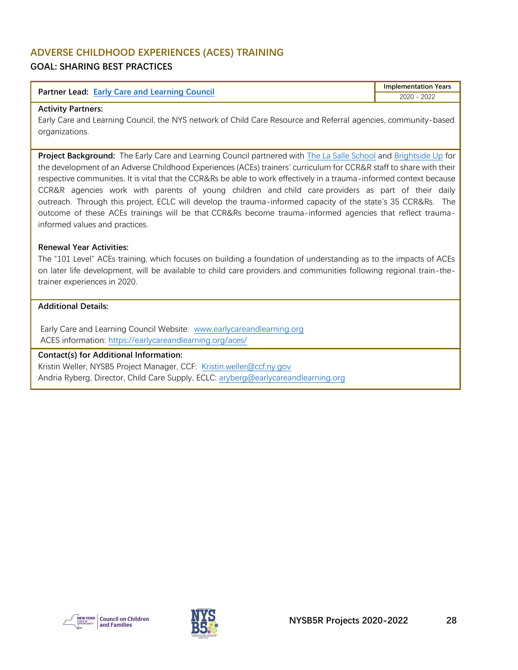#### <span id="page-28-0"></span>**ADVERSE CHILDHOOD EXPERIENCES (ACES) TRAINING GOAL: SHARING BEST PRACTICES**

| <b>Partner Lead: Early Care and Learning Council</b> | Implementation Years |
|------------------------------------------------------|----------------------|
|                                                      | 2022<br>2020         |

#### **Activity Partners:**

Early Care and Learning Council, the NYS network of Child Care Resource and Referral agencies, community-based organizations.

**Project Background:** The Early Care and Learning Council partnered with [The La Salle School](https://www.lasalle-school.org/) and [Brightside Up](https://www.brightsideup.org/) for the development of an Adverse Childhood Experiences (ACEs) trainers' curriculum for CCR&R staff to share with their respective communities. It is vital that the CCR&Rs be able to work effectively in a trauma-informed context because CCR&R agencies work with parents of young children and child care providers as part of their daily outreach. Through this project, ECLC will develop the trauma-informed capacity of the state's 35 CCR&Rs. The outcome of these ACEs trainings will be that CCR&Rs become trauma-informed agencies that reflect traumainformed values and practices.

#### **Renewal Year Activities:**

The "101 Level" ACEs training, which focuses on building a foundation of understanding as to the impacts of ACEs on later life development, will be available to child care providers and communities following regional train-thetrainer experiences in 2020.

#### **Additional Details:**

Early Care and Learning Council Website: [www.earlycareandlearning.org](http://www.earlycareandlearning.org/) ACES information: <https://earlycareandlearning.org/aces/>

#### **Contact(s) for Additional Information:**

Kristin Weller, NYSB5 Project Manager, CCF: [Kristin.weller@ccf.ny.gov](mailto:Kristin.weller@ccf.ny.gov) Andria Ryberg, Director, Child Care Supply, ECLC: [aryberg@earlycareandlearning.org](mailto:aryberg@earlycareandlearning.org)



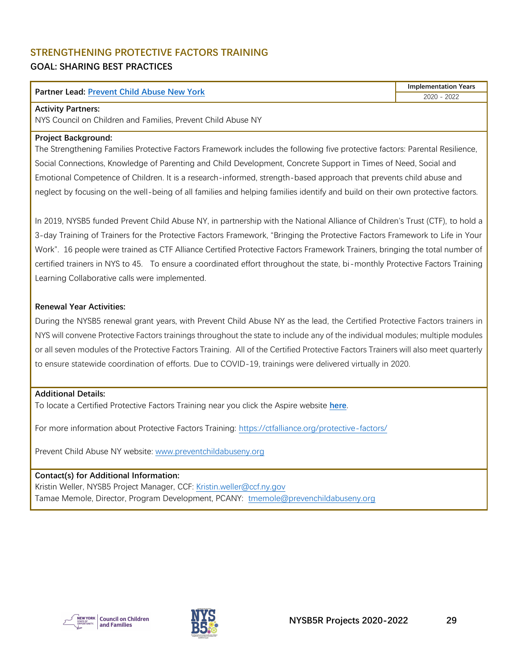## <span id="page-29-0"></span>**STRENGTHENING PROTECTIVE FACTORS TRAINING GOAL: SHARING BEST PRACTICES**

#### **Partner Lead: [Prevent Child Abuse New York](https://www.preventchildabuseny.org/)**

**Implementation Years** 2020 - 2022

#### **Activity Partners:**

NYS Council on Children and Families, Prevent Child Abuse NY

#### **Project Background:**

The Strengthening Families Protective Factors Framework includes the following five protective factors: Parental Resilience, Social Connections, Knowledge of Parenting and Child Development, Concrete Support in Times of Need, Social and Emotional Competence of Children. It is a research-informed, strength-based approach that prevents child abuse and neglect by focusing on the well-being of all families and helping families identify and build on their own protective factors.

In 2019, NYSB5 funded Prevent Child Abuse NY, in partnership with the National Alliance of Children's Trust (CTF), to hold a 3-day Training of Trainers for the Protective Factors Framework, "Bringing the Protective Factors Framework to Life in Your Work". 16 people were trained as CTF Alliance Certified Protective Factors Framework Trainers, bringing the total number of certified trainers in NYS to 45. To ensure a coordinated effort throughout the state, bi-monthly Protective Factors Training Learning Collaborative calls were implemented.

#### **Renewal Year Activities:**

During the NYSB5 renewal grant years, with Prevent Child Abuse NY as the lead, the Certified Protective Factors trainers in NYS will convene Protective Factors trainings throughout the state to include any of the individual modules; multiple modules or all seven modules of the Protective Factors Training. All of the Certified Protective Factors Trainers will also meet quarterly to ensure statewide coordination of efforts. Due to COVID-19, trainings were delivered virtually in 2020.

#### **Additional Details:**

To locate a Certified Protective Factors Training near you click the Aspire website **[here](https://nyworksforchildren.org/aspire/go/Default.aspx)**.

For more information about Protective Factors Training:<https://ctfalliance.org/protective-factors/>

Prevent Child Abuse NY website: [www.preventchildabuseny.org](http://www.preventchildabuseny.org/)

**Contact(s) for Additional Information:** Kristin Weller, NYSB5 Project Manager, CCF: [Kristin.weller@ccf.ny.gov](mailto:Kristin.weller@ccf.ny.gov) Tamae Memole, Director, Program Development, PCANY: [tmemole@prevenchildabuseny.org](mailto:tmemole@prevenchildabuseny.org)



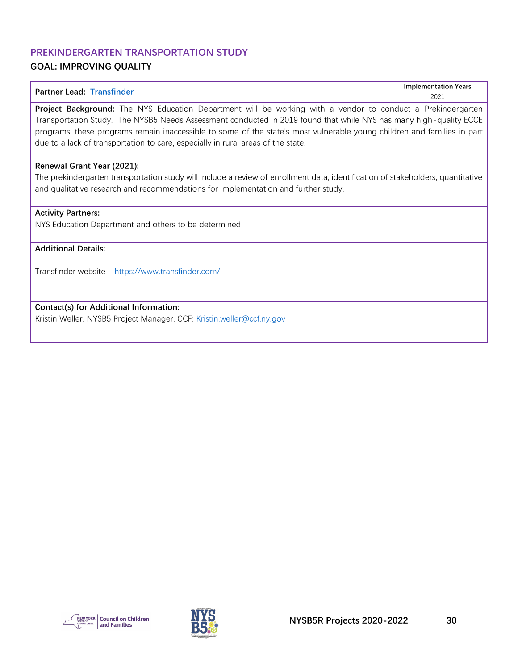## <span id="page-30-0"></span>**PREKINDERGARTEN TRANSPORTATION STUDY GOAL: IMPROVING QUALITY**

| <b>Partner Lead: Transfinder</b>                                                                                                                                                                                                                                                                                                                                                                                                                 | <b>Implementation Years</b> |
|--------------------------------------------------------------------------------------------------------------------------------------------------------------------------------------------------------------------------------------------------------------------------------------------------------------------------------------------------------------------------------------------------------------------------------------------------|-----------------------------|
|                                                                                                                                                                                                                                                                                                                                                                                                                                                  | 2021                        |
| Project Background: The NYS Education Department will be working with a vendor to conduct a Prekindergarten<br>Transportation Study. The NYSB5 Needs Assessment conducted in 2019 found that while NYS has many high-quality ECCE<br>programs, these programs remain inaccessible to some of the state's most vulnerable young children and families in part<br>due to a lack of transportation to care, especially in rural areas of the state. |                             |
| Renewal Grant Year (2021):<br>The prekindergarten transportation study will include a review of enrollment data, identification of stakeholders, quantitative<br>and qualitative research and recommendations for implementation and further study.                                                                                                                                                                                              |                             |
| <b>Activity Partners:</b><br>NYS Education Department and others to be determined.                                                                                                                                                                                                                                                                                                                                                               |                             |

#### **Additional Details:**

Transfinder website - <https://www.transfinder.com/>

**Contact(s) for Additional Information:**

Kristin Weller, NYSB5 Project Manager, CCF: [Kristin.weller@ccf.ny.gov](mailto:Kristin.weller@ccf.ny.gov)



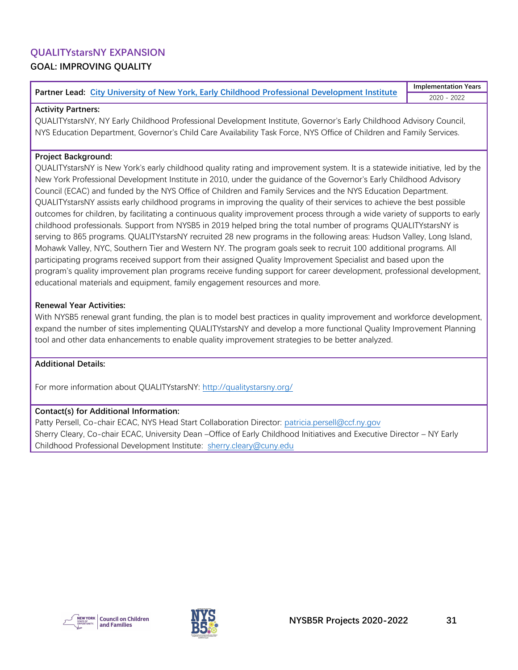## <span id="page-31-0"></span>**QUALITYstarsNY EXPANSION GOAL: IMPROVING QUALITY**

#### **Partner Lead: [City University of New York, Early Childhood Professional Development Institute](https://www.earlychildhoodny.org/)**

**Implementation Years** 2020 - 2022

#### **Activity Partners:**

QUALITYstarsNY, NY Early Childhood Professional Development Institute, Governor's Early Childhood Advisory Council, NYS Education Department, Governor's Child Care Availability Task Force, NYS Office of Children and Family Services.

#### **Project Background:**

QUALITYstarsNY is New York's early childhood quality rating and improvement system. It is a statewide initiative, led by the New York Professional Development Institute in 2010, under the guidance of the Governor's Early Childhood Advisory Council (ECAC) and funded by the NYS Office of Children and Family Services and the NYS Education Department. QUALITYstarsNY assists early childhood programs in improving the quality of their services to achieve the best possible outcomes for children, by facilitating a continuous quality improvement process through a wide variety of supports to early childhood professionals. Support from NYSB5 in 2019 helped bring the total number of programs QUALITYstarsNY is serving to 865 programs. QUALITYstarsNY recruited 28 new programs in the following areas: Hudson Valley, Long Island, Mohawk Valley, NYC, Southern Tier and Western NY. The program goals seek to recruit 100 additional programs. All participating programs received support from their assigned Quality Improvement Specialist and based upon the program's quality improvement plan programs receive funding support for career development, professional development, educational materials and equipment, family engagement resources and more.

#### **Renewal Year Activities:**

With NYSB5 renewal grant funding, the plan is to model best practices in quality improvement and workforce development, expand the number of sites implementing QUALITYstarsNY and develop a more functional Quality Improvement Planning tool and other data enhancements to enable quality improvement strategies to be better analyzed.

#### **Additional Details:**

For more information about QUALITYstarsNY: <http://qualitystarsny.org/>

#### **Contact(s) for Additional Information:**

Patty Persell, Co-chair ECAC, NYS Head Start Collaboration Director: [patricia.persell@ccf.ny.gov](mailto:patricia.persell@ccf.ny.gov) Sherry Cleary, Co-chair ECAC, University Dean –Office of Early Childhood Initiatives and Executive Director – NY Early Childhood Professional Development Institute: [sherry.cleary@cuny.edu](mailto:sherry.cleary@cuny.edu)



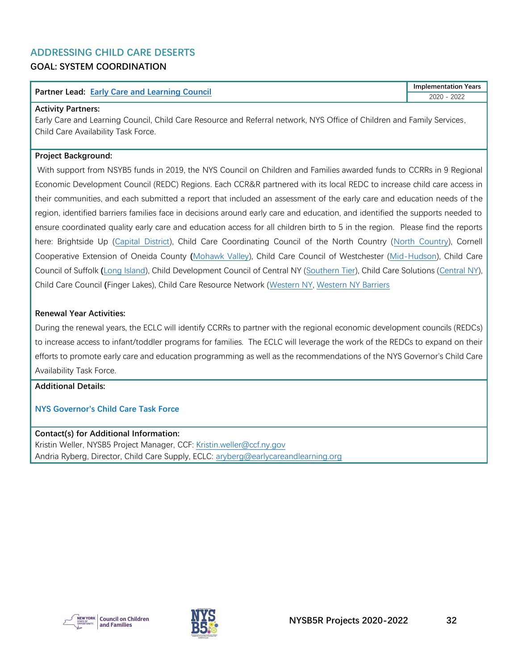#### <span id="page-32-0"></span>**ADDRESSING CHILD CARE DESERTS GOAL: SYSTEM COORDINATION**

| Partner I<br><b>Early Care and Learning Council</b><br>Lead: | Years<br>Implementation |
|--------------------------------------------------------------|-------------------------|
|                                                              | 2022<br>2020            |

#### **Activity Partners:**

Early Care and Learning Council, Child Care Resource and Referral network, NYS Office of Children and Family Services, Child Care Availability Task Force.

#### **Project Background:**

With support from NSYB5 funds in 2019, the NYS Council on Children and Families awarded funds to CCRRs in 9 Regional Economic Development Council (REDC) Regions. Each CCR&R partnered with its local REDC to increase child care access in their communities, and each submitted a report that included an assessment of the early care and education needs of the region, identified barriers families face in decisions around early care and education, and identified the supports needed to ensure coordinated quality early care and education access for all children birth to 5 in the region. Please find the reports here: Brightside Up [\(Capital District\)](https://www.ccf.ny.gov/files/7315/7909/7209/drCapitalRegion.pdf), Child Care Coordinating Council of the North Country [\(North Country\)](https://www.ccf.ny.gov/files/3515/7909/7246/drNorthCountry.pdf), Cornell Cooperative Extension of Oneida County **(**[Mohawk Valley\)](https://www.ccf.ny.gov/files/5015/9420/8312/5-MohawkValley.pdf), Child Care Council of Westchester [\(Mid-Hudson\)](https://www.ccf.ny.gov/files/5415/9420/8374/8-Mid-Hudson.pdf), Child Care Council of Suffolk **(**[Long Island\)](https://www.ccf.ny.gov/files/8315/9420/8414/10-LongIslandCollated.pdf), Child Development Council of Central NY [\(Southern Tier\)](https://www.ccf.ny.gov/files/8615/7909/7267/drSouthTier.pdf), Child Care Solutions [\(Central NY\)](https://www.ccf.ny.gov/files/6915/7909/7229/drCentralNY.pdf), Child Care Council **(**Finger Lakes), Child Care Resource Network [\(Western NY,](https://www.ccf.ny.gov/files/3415/7909/7286/drWesternNY_Part1.pdf) [Western NY Barriers](https://www.ccf.ny.gov/files/4315/7909/7305/drWesternNY_Part2.pdf)

#### **Renewal Year Activities:**

During the renewal years, the ECLC will identify CCRRs to partner with the regional economic development councils (REDCs) to increase access to infant/toddler programs for families. The ECLC will leverage the work of the REDCs to expand on their efforts to promote early care and education programming as well as the recommendations of the NYS Governor's Child Care Availability Task Force.

#### **Additional Details:**

#### **NYS Governor's Child Care Task Force**

**Contact(s) for Additional Information:** Kristin Weller, NYSB5 Project Manager, CCF: [Kristin.weller@ccf.ny.gov](mailto:Kristin.weller@ccf.ny.gov) Andria Ryberg, Director, Child Care Supply, ECLC: [aryberg@earlycareandlearning.org](mailto:aryberg@earlycareandlearning.org)



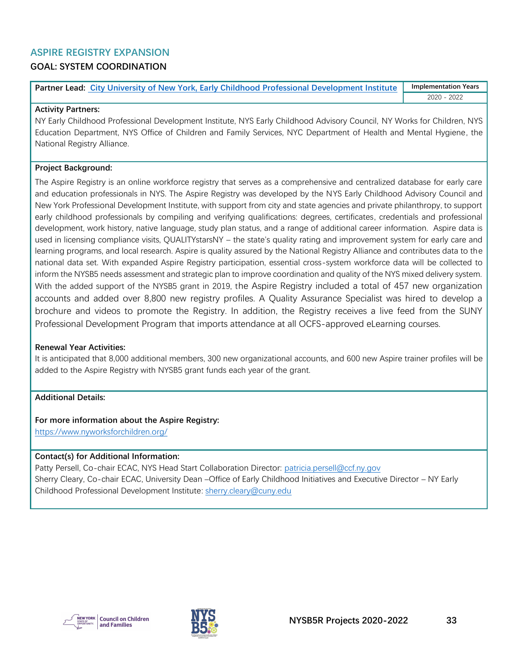## <span id="page-33-0"></span>**ASPIRE REGISTRY EXPANSION**

## **GOAL: SYSTEM COORDINATION**

**Partner Lead: [City University of New York, Early Childhood Professional Development Institute](https://www.earlychildhoodny.org/) Implementation Years** 2020 - 2022

#### **Activity Partners:**

NY Early Childhood Professional Development Institute, NYS Early Childhood Advisory Council, NY Works for Children, NYS Education Department, NYS Office of Children and Family Services, NYC Department of Health and Mental Hygiene, the National Registry Alliance.

#### **Project Background:**

The Aspire Registry is an online workforce registry that serves as a comprehensive and centralized database for early care and education professionals in NYS. The Aspire Registry was developed by the NYS Early Childhood Advisory Council and New York Professional Development Institute, with support from city and state agencies and private philanthropy, to support early childhood professionals by compiling and verifying qualifications: degrees, certificates, credentials and professional development, work history, native language, study plan status, and a range of additional career information. Aspire data is used in licensing compliance visits, QUALITYstarsNY – the state's quality rating and improvement system for early care and learning programs, and local research. Aspire is quality assured by the National Registry Alliance and contributes data to the national data set. With expanded Aspire Registry participation, essential cross-system workforce data will be collected to inform the NYSB5 needs assessment and strategic plan to improve coordination and quality of the NYS mixed delivery system. With the added support of the NYSB5 grant in 2019, the Aspire Registry included a total of 457 new organization accounts and added over 8,800 new registry profiles. A Quality Assurance Specialist was hired to develop a brochure and videos to promote the Registry. In addition, the Registry receives a live feed from the SUNY Professional Development Program that imports attendance at all OCFS-approved eLearning courses.

#### **Renewal Year Activities:**

It is anticipated that 8,000 additional members, 300 new organizational accounts, and 600 new Aspire trainer profiles will be added to the Aspire Registry with NYSB5 grant funds each year of the grant.

#### **Additional Details:**

#### **For more information about the Aspire Registry:**

<https://www.nyworksforchildren.org/>

#### **Contact(s) for Additional Information:**

Patty Persell, Co-chair ECAC, NYS Head Start Collaboration Director: [patricia.persell@ccf.ny.gov](mailto:patricia.persell@ccf.ny.gov) Sherry Cleary, Co-chair ECAC, University Dean –Office of Early Childhood Initiatives and Executive Director – NY Early Childhood Professional Development Institute: [sherry.cleary@cuny.edu](mailto:sherry.cleary@cuny.edu)



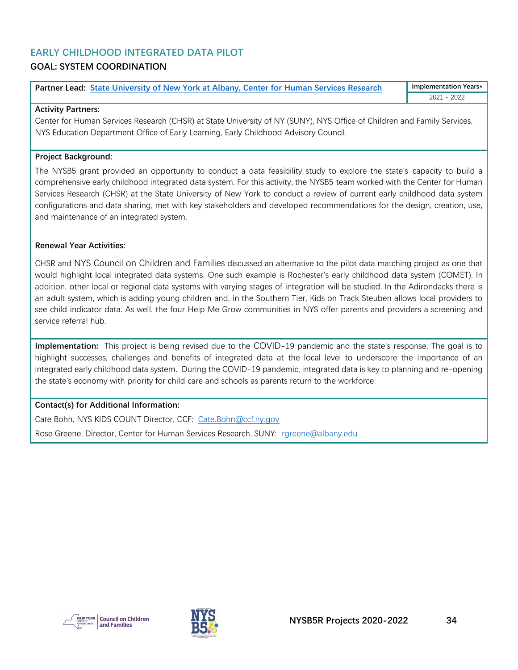## <span id="page-34-0"></span>**EARLY CHILDHOOD INTEGRATED DATA PILOT**

## **GOAL: SYSTEM COORDINATION**

| Partner Lead: State University of New York at Albany, Center for Human Services Research | <b>Implementation Years*</b> |
|------------------------------------------------------------------------------------------|------------------------------|
|                                                                                          | 2022<br>2021                 |

#### **Activity Partners:**

Center for Human Services Research (CHSR) at State University of NY (SUNY), NYS Office of Children and Family Services, NYS Education Department Office of Early Learning, Early Childhood Advisory Council.

#### **Project Background:**

The NYSB5 grant provided an opportunity to conduct a data feasibility study to explore the state's capacity to build a comprehensive early childhood integrated data system. For this activity, the NYSB5 team worked with the Center for Human Services Research (CHSR) at the State University of New York to conduct a review of current early childhood data system configurations and data sharing, met with key stakeholders and developed recommendations for the design, creation, use, and maintenance of an integrated system.

#### **Renewal Year Activities:**

CHSR and NYS Council on Children and Families discussed an alternative to the pilot data matching project as one that would highlight local integrated data systems. One such example is Rochester's early childhood data system (COMET). In addition, other local or regional data systems with varying stages of integration will be studied. In the Adirondacks there is an adult system, which is adding young children and, in the Southern Tier, Kids on Track Steuben allows local providers to see child indicator data. As well, the four Help Me Grow communities in NYS offer parents and providers a screening and service referral hub.

**Implementation:** This project is being revised due to the COVID-19 pandemic and the state's response. The goal is to highlight successes, challenges and benefits of integrated data at the local level to underscore the importance of an integrated early childhood data system. During the COVID-19 pandemic, integrated data is key to planning and re-opening the state's economy with priority for child care and schools as parents return to the workforce.

#### **Contact(s) for Additional Information:**

Cate Bohn, NYS KIDS COUNT Director, CCF: [Cate.Bohn@ccf.ny.gov](mailto:Cate.Bohn@ccf.ny.gov) Rose Greene, Director, Center for Human Services Research, SUNY: [rgreene@albany.edu](mailto:rgreene@albany.edu)



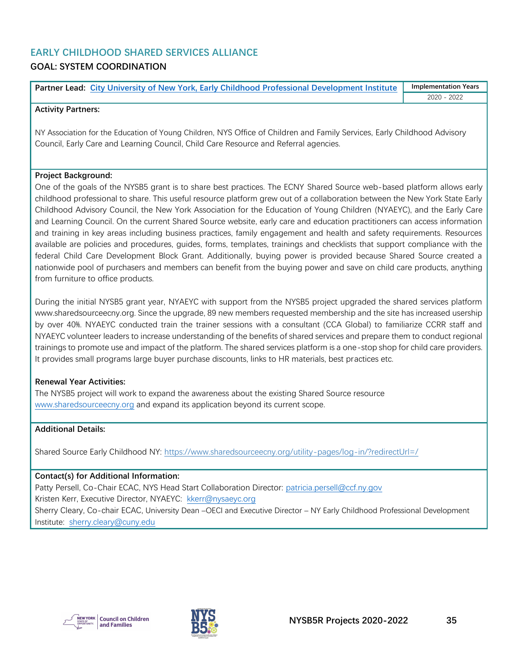#### <span id="page-35-0"></span>**EARLY CHILDHOOD SHARED SERVICES ALLIANCE GOAL: SYSTEM COORDINATION**

| <b>Partner Lead: City University of New York, Early Childhood Professional Development Institute</b> | <b>Implementation Years</b> |
|------------------------------------------------------------------------------------------------------|-----------------------------|
|                                                                                                      | 2020 - 2022                 |

#### **Activity Partners:**

NY Association for the Education of Young Children, NYS Office of Children and Family Services, Early Childhood Advisory Council, Early Care and Learning Council, Child Care Resource and Referral agencies.

#### **Project Background:**

One of the goals of the NYSB5 grant is to share best practices. The ECNY Shared Source web-based platform allows early childhood professional to share. This useful resource platform grew out of a collaboration between the New York State Early Childhood Advisory Council, the New York Association for the Education of Young Children (NYAEYC), and the Early Care and Learning Council. On the current Shared Source website, early care and education practitioners can access information and training in key areas including business practices, family engagement and health and safety requirements. Resources available are policies and procedures, guides, forms, templates, trainings and checklists that support compliance with the federal Child Care Development Block Grant. Additionally, buying power is provided because Shared Source created a nationwide pool of purchasers and members can benefit from the buying power and save on child care products, anything from furniture to office products.

During the initial NYSB5 grant year, NYAEYC with support from the NYSB5 project upgraded the shared services platform www.sharedsourceecny.org. Since the upgrade, 89 new members requested membership and the site has increased usership by over 40%. NYAEYC conducted train the trainer sessions with a consultant (CCA Global) to familiarize CCRR staff and NYAEYC volunteer leaders to increase understanding of the benefits of shared services and prepare them to conduct regional trainings to promote use and impact of the platform. The shared services platform is a one-stop shop for child care providers. It provides small programs large buyer purchase discounts, links to HR materials, best practices etc.

#### **Renewal Year Activities:**

The NYSB5 project will work to expand the awareness about the existing Shared Source resource [www.sharedsourceecny.org](http://www.sharedsourceecny.org/) and expand its application beyond its current scope.

#### **Additional Details:**

Shared Source Early Childhood NY: <https://www.sharedsourceecny.org/utility-pages/log-in/?redirectUrl=/>

#### **Contact(s) for Additional Information:**

Patty Persell, Co-Chair ECAC, NYS Head Start Collaboration Director: [patricia.persell@ccf.ny.gov](mailto:patricia.persell@ccf.ny.gov) Kristen Kerr, Executive Director, NYAEYC: [kkerr@nysaeyc.org](mailto:kkerr@nysaeyc.org) Sherry Cleary, Co-chair ECAC, University Dean –OECI and Executive Director – NY Early Childhood Professional Development Institute: sherry.cleary@cuny.edu



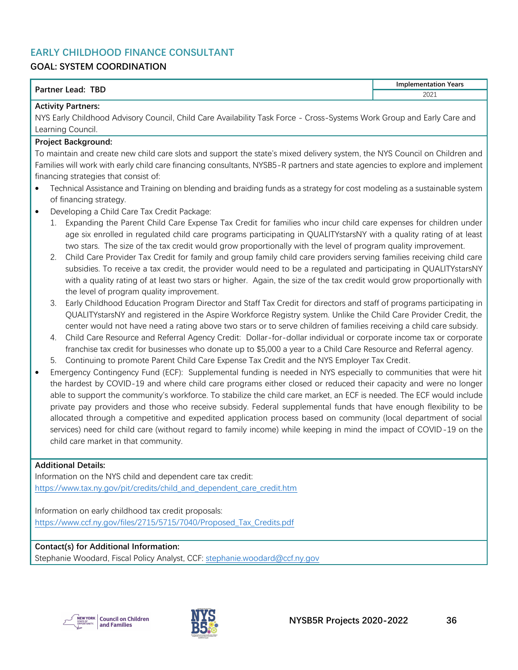## <span id="page-36-0"></span>**EARLY CHILDHOOD FINANCE CONSULTANT**

## **GOAL: SYSTEM COORDINATION**

| <b>TBD</b><br>Dartnor<br>.ead<br>rtne | Years<br>١m<br>nnlementation<br>__<br>_________ |
|---------------------------------------|-------------------------------------------------|
|                                       | 2021                                            |

## **Activity Partners:**

NYS Early Childhood Advisory Council, Child Care Availability Task Force - Cross-Systems Work Group and Early Care and Learning Council.

#### **Project Background:**

To maintain and create new child care slots and support the state's mixed delivery system, the NYS Council on Children and Families will work with early child care financing consultants, NYSB5-R partners and state agencies to explore and implement financing strategies that consist of:

- Technical Assistance and Training on blending and braiding funds as a strategy for cost modeling as a sustainable system of financing strategy.
- Developing a Child Care Tax Credit Package:
	- 1. Expanding the Parent Child Care Expense Tax Credit for families who incur child care expenses for children under age six enrolled in regulated child care programs participating in QUALITYstarsNY with a quality rating of at least two stars. The size of the tax credit would grow proportionally with the level of program quality improvement.
	- 2. Child Care Provider Tax Credit for family and group family child care providers serving families receiving child care subsidies. To receive a tax credit, the provider would need to be a regulated and participating in QUALITYstarsNY with a quality rating of at least two stars or higher. Again, the size of the tax credit would grow proportionally with the level of program quality improvement.
	- 3. Early Childhood Education Program Director and Staff Tax Credit for directors and staff of programs participating in QUALITYstarsNY and registered in the Aspire Workforce Registry system. Unlike the Child Care Provider Credit, the center would not have need a rating above two stars or to serve children of families receiving a child care subsidy.
	- 4. Child Care Resource and Referral Agency Credit: Dollar-for-dollar individual or corporate income tax or corporate franchise tax credit for businesses who donate up to \$5,000 a year to a Child Care Resource and Referral agency.
	- 5. Continuing to promote Parent Child Care Expense Tax Credit and the NYS Employer Tax Credit.
- Emergency Contingency Fund (ECF): Supplemental funding is needed in NYS especially to communities that were hit the hardest by COVID-19 and where child care programs either closed or reduced their capacity and were no longer able to support the community's workforce. To stabilize the child care market, an ECF is needed. The ECF would include private pay providers and those who receive subsidy. Federal supplemental funds that have enough flexibility to be allocated through a competitive and expedited application process based on community (local department of social services) need for child care (without regard to family income) while keeping in mind the impact of COVID-19 on the child care market in that community.

#### **Additional Details:**

Information on the NYS child and dependent care tax credit: [https://www.tax.ny.gov/pit/credits/child\\_and\\_dependent\\_care\\_credit.htm](https://www.tax.ny.gov/pit/credits/child_and_dependent_care_credit.htm) 

Information on early childhood tax credit proposals: [https://www.ccf.ny.gov/files/2715/5715/7040/Proposed\\_Tax\\_Credits.pdf](https://www.ccf.ny.gov/files/2715/5715/7040/Proposed_Tax_Credits.pdf) 

#### **Contact(s) for Additional Information:**

Stephanie Woodard, Fiscal Policy Analyst, CCF: [stephanie.woodard@ccf.ny.gov](mailto:stephanie.woodard@ccf.ny.gov)



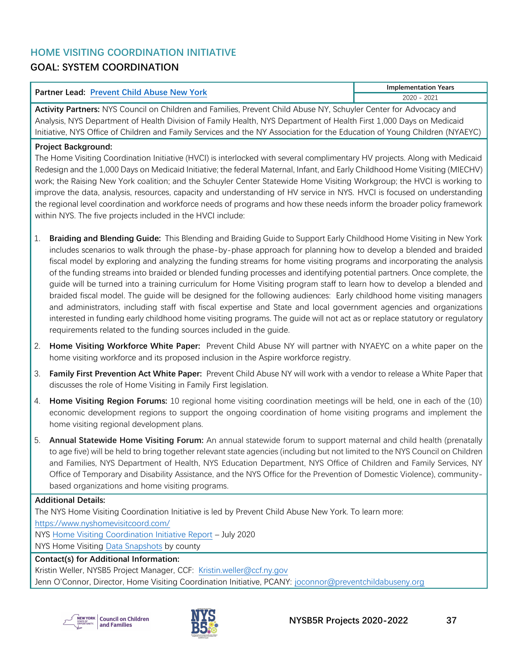## <span id="page-37-0"></span>**HOME VISITING COORDINATION INITIATIVE GOAL: SYSTEM COORDINATION**

| Partner<br>York<br>.<br><b>Prayant</b><br>.ead<br>∾Mr | Years<br>mentation<br>.       |
|-------------------------------------------------------|-------------------------------|
|                                                       | 0.001<br>חרחר<br>ZUZ<br>LUL 1 |

**Activity Partners:** NYS Council on Children and Families, Prevent Child Abuse NY, Schuyler Center for Advocacy and Analysis, NYS Department of Health Division of Family Health, NYS Department of Health First 1,000 Days on Medicaid Initiative, NYS Office of Children and Family Services and the NY Association for the Education of Young Children (NYAEYC)

#### **Project Background:**

The Home Visiting Coordination Initiative (HVCI) is interlocked with several complimentary HV projects. Along with Medicaid Redesign and the 1,000 Days on Medicaid Initiative; the federal Maternal, Infant, and Early Childhood Home Visiting (MIECHV) work; the Raising New York coalition; and the Schuyler Center Statewide Home Visiting Workgroup; the HVCI is working to improve the data, analysis, resources, capacity and understanding of HV service in NYS. HVCI is focused on understanding the regional level coordination and workforce needs of programs and how these needs inform the broader policy framework within NYS. The five projects included in the HVCI include:

- 1. **Braiding and Blending Guide:** This Blending and Braiding Guide to Support Early Childhood Home Visiting in New York includes scenarios to walk through the phase-by-phase approach for planning how to develop a blended and braided fiscal model by exploring and analyzing the funding streams for home visiting programs and incorporating the analysis of the funding streams into braided or blended funding processes and identifying potential partners. Once complete, the guide will be turned into a training curriculum for Home Visiting program staff to learn how to develop a blended and braided fiscal model. The guide will be designed for the following audiences: Early childhood home visiting managers and administrators, including staff with fiscal expertise and State and local government agencies and organizations interested in funding early childhood home visiting programs. The guide will not act as or replace statutory or regulatory requirements related to the funding sources included in the guide.
- 2. **Home Visiting Workforce White Paper:** Prevent Child Abuse NY will partner with NYAEYC on a white paper on the home visiting workforce and its proposed inclusion in the Aspire workforce registry.
- 3. **Family First Prevention Act White Paper:** Prevent Child Abuse NY will work with a vendor to release a White Paper that discusses the role of Home Visiting in Family First legislation.
- 4. **Home Visiting Region Forums:** 10 regional home visiting coordination meetings will be held, one in each of the (10) economic development regions to support the ongoing coordination of home visiting programs and implement the home visiting regional development plans.
- 5. **Annual Statewide Home Visiting Forum:** An annual statewide forum to support maternal and child health (prenatally to age five) will be held to bring together relevant state agencies (including but not limited to the NYS Council on Children and Families, NYS Department of Health, NYS Education Department, NYS Office of Children and Family Services, NY Office of Temporary and Disability Assistance, and the NYS Office for the Prevention of Domestic Violence), communitybased organizations and home visiting programs.

#### **Additional Details:**

The NYS Home Visiting Coordination Initiative is led by Prevent Child Abuse New York. To learn more: <https://www.nyshomevisitcoord.com/> NYS [Home Visiting Coordination Initiative Report](https://dc6ad1d5-9d66-47c2-adfe-78a5cdad6f0d.filesusr.com/ugd/9bc2d9_d0263f7ee34d44789025941110162a66.pdf) – July 2020 NYS Home Visiting [Data Snapshots](https://raisingnewyork.org/home-visitation/) by county **Contact(s) for Additional Information:**

Kristin Weller, NYSB5 Project Manager, CCF: [Kristin.weller@ccf.ny.gov](mailto:Kristin.weller@ccf.ny.gov) Jenn O'Connor, Director, Home Visiting Coordination Initiative, PCANY: [joconnor@preventchildabuseny.org](mailto:joconnor@preventchildabuseny.org)



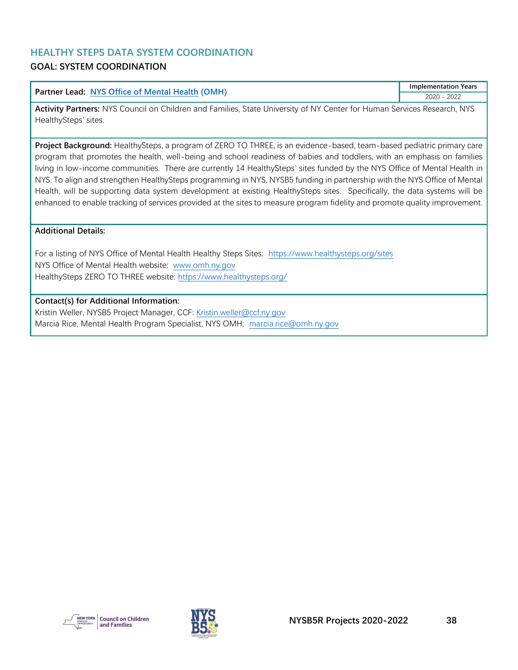## <span id="page-38-0"></span>**HEALTHY STEPS DATA SYSTEM COORDINATION**

## **GOAL: SYSTEM COORDINATION**

#### **Partner Lead: [NYS Office of Mental Health](https://omh.ny.gov/) (OMH)**

**Implementation Years** 2020 - 2022

**Activity Partners:** NYS Council on Children and Families, State University of NY Center for Human Services Research, NYS HealthySteps' sites.

**Project Background:** HealthySteps, a program of ZERO TO THREE, is an evidence-based, team-based pediatric primary care program that promotes the health, well-being and school readiness of babies and toddlers, with an emphasis on families living in low-income communities. There are currently 14 HealthySteps' sites funded by the NYS Office of Mental Health in NYS. To align and strengthen HealthySteps programming in NYS, NYSB5 funding in partnership with the NYS Office of Mental Health, will be supporting data system development at existing HealthySteps sites. Specifically, the data systems will be enhanced to enable tracking of services provided at the sites to measure program fidelity and promote quality improvement.

#### **Additional Details:**

For a listing of NYS Office of Mental Health Healthy Steps Sites: <https://www.healthysteps.org/sites> NYS Office of Mental Health website: [www.omh.ny.gov](http://www.omh.ny.gov/) HealthySteps ZERO TO THREE website:<https://www.healthysteps.org/>

#### **Contact(s) for Additional Information:**

Kristin Weller, NYSB5 Project Manager, CCF: [Kristin.weller@ccf.ny.gov](mailto:Kristin.weller@ccf.ny.gov) Marcia Rice, Mental Health Program Specialist, NYS OMH: [marcia.rice@omh.ny.gov](mailto:marcia.rice@omh.ny.gov)



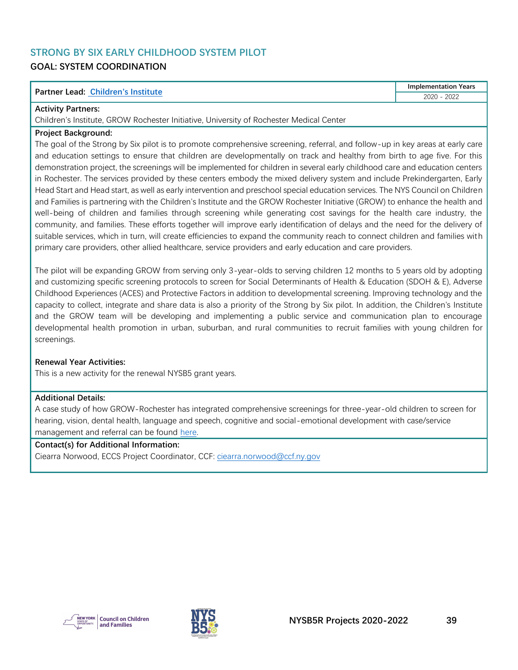## <span id="page-39-0"></span>**STRONG BY SIX EARLY CHILDHOOD SYSTEM PILOT GOAL: SYSTEM COORDINATION**

#### **Partner Lead: [Children's Institute](https://www.childrensinstitute.net/)**

**Implementation Years** 2020 - 2022

#### **Activity Partners:**

Children's Institute, GROW Rochester Initiative, University of Rochester Medical Center

#### **Project Background:**

The goal of the Strong by Six pilot is to promote comprehensive screening, referral, and follow-up in key areas at early care and education settings to ensure that children are developmentally on track and healthy from birth to age five. For this demonstration project, the screenings will be implemented for children in several early childhood care and education centers in Rochester. The services provided by these centers embody the mixed delivery system and include Prekindergarten, Early Head Start and Head start, as well as early intervention and preschool special education services. The NYS Council on Children and Families is partnering with the Children's Institute and the GROW Rochester Initiative (GROW) to enhance the health and well-being of children and families through screening while generating cost savings for the health care industry, the community, and families. These efforts together will improve early identification of delays and the need for the delivery of suitable services, which in turn, will create efficiencies to expand the community reach to connect children and families with primary care providers, other allied healthcare, service providers and early education and care providers.

The pilot will be expanding GROW from serving only 3-year-olds to serving children 12 months to 5 years old by adopting and customizing specific screening protocols to screen for Social Determinants of Health & Education (SDOH & E), Adverse Childhood Experiences (ACES) and Protective Factors in addition to developmental screening. Improving technology and the capacity to collect, integrate and share data is also a priority of the Strong by Six pilot. In addition, the Children's Institute and the GROW team will be developing and implementing a public service and communication plan to encourage developmental health promotion in urban, suburban, and rural communities to recruit families with young children for screenings.

#### **Renewal Year Activities:**

This is a new activity for the renewal NYSB5 grant years.

#### **Additional Details:**

A case study of how GROW-Rochester has integrated comprehensive screenings for three-year-old children to screen for hearing, vision, dental health, language and speech, cognitive and social-emotional development with case/service management and referral can be found [here.](http://www.comet4children.com/sites/default/files/GROW_COMETCaseStudy_1.pdf)

#### **Contact(s) for Additional Information:**

Ciearra Norwood, ECCS Project Coordinator, CCF[: ciearra.norwood@ccf.ny.gov](mailto:ciearra.norwood@ccf.ny.gov)



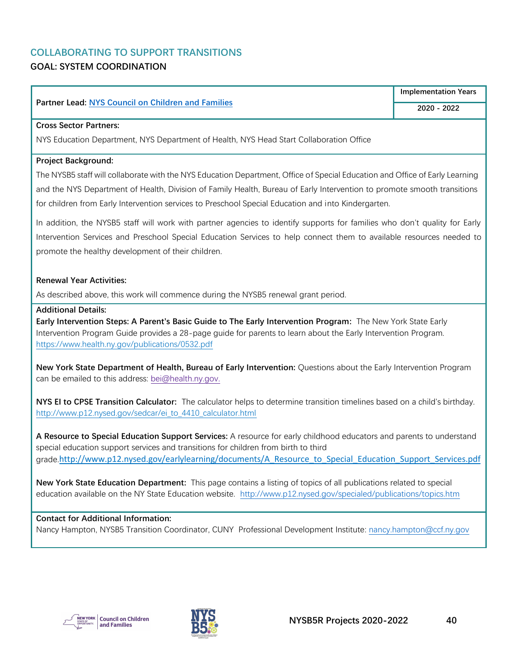## <span id="page-40-0"></span>**COLLABORATING TO SUPPORT TRANSITIONS GOAL: SYSTEM COORDINATION**

#### **Partner Lead: [NYS](https://www.childrensinstitute.net/) Council on Children and Families**

#### **Cross Sector Partners:**

NYS Education Department, NYS Department of Health, NYS Head Start Collaboration Office

#### **Project Background:**

The NYSB5 staff will collaborate with the NYS Education Department, Office of Special Education and Office of Early Learning and the NYS Department of Health, Division of Family Health, Bureau of Early Intervention to promote smooth transitions for children from Early Intervention services to Preschool Special Education and into Kindergarten.

In addition, the NYSB5 staff will work with partner agencies to identify supports for families who don't quality for Early Intervention Services and Preschool Special Education Services to help connect them to available resources needed to promote the healthy development of their children.

#### **Renewal Year Activities:**

As described above, this work will commence during the NYSB5 renewal grant period.

#### **Additional Details:**

**Early Intervention Steps: A Parent's Basic Guide to The Early Intervention Program:** The New York State Early Intervention Program Guide provides a 28-page guide for parents to learn about the Early Intervention Program. <https://www.health.ny.gov/publications/0532.pdf>

**New York State Department of Health, Bureau of Early Intervention:** Questions about the Early Intervention Program can be emailed to this address: [bei@health.ny.gov.](mailto:bei@health.ny.gov)

**NYS EI to CPSE Transition Calculator:** The calculator helps to determine transition timelines based on a child's birthday. [http://www.p12.nysed.gov/sedcar/ei\\_to\\_4410\\_calculator.html](http://www.p12.nysed.gov/sedcar/ei_to_4410_calculator.html)

**A Resource to Special Education Support Services:** A resource for early childhood educators and parents to understand special education support services and transitions for children from birth to third grade.[http://www.p12.nysed.gov/earlylearning/documents/A\\_Resource\\_to\\_Special\\_Education\\_Support\\_Services.pdf](https://protect2.fireeye.com/v1/url?k=8912368d-d6890e4a-8910cfb8-000babd9f75c-2d0476ee721d4916&q=1&e=2c996351-fd36-489e-990b-d36229d13cf8&u=http%3A%2F%2Fwww.p12.nysed.gov%2Fearlylearning%2Fdocuments%2FA_Resource_to_Special_Education_Support_Services.pdf)

**New York State Education Department:** This page contains a listing of topics of all publications related to special education available on the NY State Education website. <http://www.p12.nysed.gov/specialed/publications/topics.htm>

#### **Contact for Additional Information:**

Nancy Hampton, NYSB5 Transition Coordinator, CUNY Professional Development Institute: [nancy.hampton@ccf.ny.gov](mailto:nancy.hampton@ccf.ny.gov)



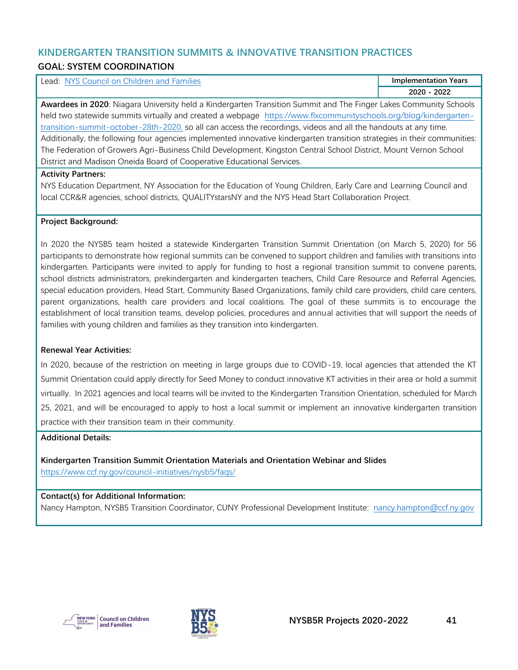#### <span id="page-41-0"></span>**KINDERGARTEN TRANSITION SUMMITS & INNOVATIVE TRANSITION PRACTICES GOAL: SYSTEM COORDINATION**

| Lead: NYS Council on Children and Families                                                                                | <b>Implementation Years</b> |  |
|---------------------------------------------------------------------------------------------------------------------------|-----------------------------|--|
|                                                                                                                           | 2020 - 2022                 |  |
| Awardees in 2020: Niagara University held a Kindergarten Transition Summit and The Finger Lakes Community Schools         |                             |  |
| held two statewide summits virtually and created a webpage https://www.flxcommunityschools.org/blog/kindergarten-         |                             |  |
| transition-summit-october-28th-2020, so all can access the recordings, videos and all the handouts at any time.           |                             |  |
| Additionally, the following four agencies implemented innovative kindergarten transition strategies in their communities: |                             |  |
| The Federation of Growers Agri-Business Child Development, Kingston Central School District, Mount Vernon School          |                             |  |
| District and Madison Oneida Board of Cooperative Educational Services.                                                    |                             |  |

#### **Activity Partners:**

NYS Education Department, NY Association for the Education of Young Children, Early Care and Learning Council and local CCR&R agencies, school districts, QUALITYstarsNY and the NYS Head Start Collaboration Project.

#### **Project Background:**

In 2020 the NYSB5 team hosted a statewide Kindergarten Transition Summit Orientation (on March 5, 2020) for 56 participants to demonstrate how regional summits can be convened to support children and families with transitions into kindergarten. Participants were invited to apply for funding to host a regional transition summit to convene parents, school districts administrators, prekindergarten and kindergarten teachers, Child Care Resource and Referral Agencies, special education providers, Head Start, Community Based Organizations, family child care providers, child care centers, parent organizations, health care providers and local coalitions. The goal of these summits is to encourage the establishment of local transition teams, develop policies, procedures and annual activities that will support the needs of families with young children and families as they transition into kindergarten.

#### **Renewal Year Activities:**

In 2020, because of the restriction on meeting in large groups due to COVID-19, local agencies that attended the KT Summit Orientation could apply directly for Seed Money to conduct innovative KT activities in their area or hold a summit virtually. In 2021 agencies and local teams will be invited to the Kindergarten Transition Orientation, scheduled for March 25, 2021, and will be encouraged to apply to host a local summit or implement an innovative kindergarten transition practice with their transition team in their community.

#### **Additional Details:**

**Kindergarten Transition Summit Orientation Materials and Orientation Webinar and Slides** <https://www.ccf.ny.gov/council-initiatives/nysb5/faqs/>

#### **Contact(s) for Additional Information:**

Nancy Hampton, NYSB5 Transition Coordinator, CUNY Professional Development Institute: [nancy.hampton@ccf.ny.gov](mailto:nancy.hampton@ccf.ny.gov)



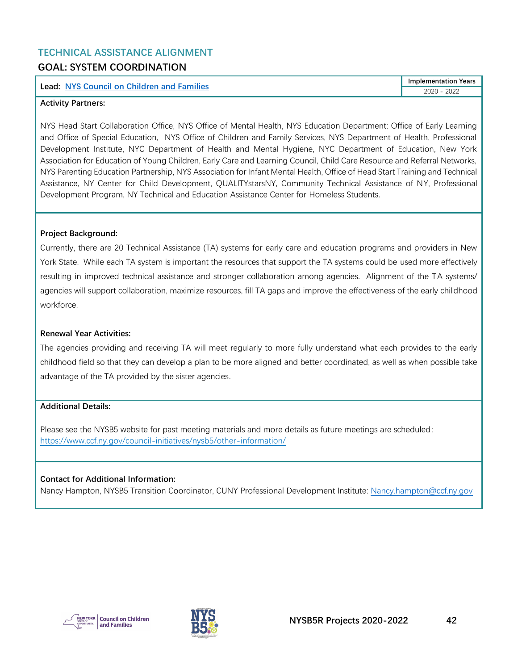## <span id="page-42-0"></span>**TECHNICAL ASSISTANCE ALIGNMENT GOAL: SYSTEM COORDINATION**

#### **Lead: [NYS Council on Children and Families](https://www.ccf.ny.gov/council-initiatives/nysb5/)**

**Implementation Years** 2020 - 2022

#### **Activity Partners:**

NYS Head Start Collaboration Office, NYS Office of Mental Health, NYS Education Department: Office of Early Learning and Office of Special Education, NYS Office of Children and Family Services, NYS Department of Health, Professional Development Institute, NYC Department of Health and Mental Hygiene, NYC Department of Education, New York Association for Education of Young Children, Early Care and Learning Council, Child Care Resource and Referral Networks, NYS Parenting Education Partnership, NYS Association for Infant Mental Health, Office of Head Start Training and Technical Assistance, NY Center for Child Development, QUALITYstarsNY, Community Technical Assistance of NY, Professional Development Program, NY Technical and Education Assistance Center for Homeless Students.

#### **Project Background:**

Currently, there are 20 Technical Assistance (TA) systems for early care and education programs and providers in New York State. While each TA system is important the resources that support the TA systems could be used more effectively resulting in improved technical assistance and stronger collaboration among agencies. Alignment of the TA systems/ agencies will support collaboration, maximize resources, fill TA gaps and improve the effectiveness of the early childhood workforce.

#### **Renewal Year Activities:**

The agencies providing and receiving TA will meet regularly to more fully understand what each provides to the early childhood field so that they can develop a plan to be more aligned and better coordinated, as well as when possible take advantage of the TA provided by the sister agencies.

#### **Additional Details:**

Please see the NYSB5 website for past meeting materials and more details as future meetings are scheduled: <https://www.ccf.ny.gov/council-initiatives/nysb5/other-information/>

#### **Contact for Additional Information:**

Nancy Hampton, NYSB5 Transition Coordinator, CUNY Professional Development Institute: [Nancy.hampton@ccf.ny.gov](mailto:Nancy.hampton@ccf.ny.gov)



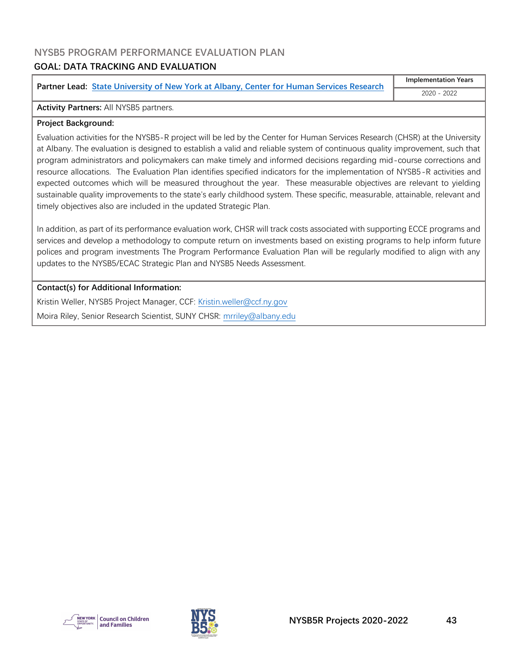## <span id="page-43-0"></span>**NYSB5 PROGRAM PERFORMANCE EVALUATION PLAN**

## **GOAL: DATA TRACKING AND EVALUATION**

**Partner Lead: [State University of New York at Albany, Center for Human Services Research](https://www.albany.edu/chsr/)**

**Implementation Years** 2020 - 2022

#### **Activity Partners:** All NYSB5 partners.

#### **Project Background:**

Evaluation activities for the NYSB5-R project will be led by the Center for Human Services Research (CHSR) at the University at Albany. The evaluation is designed to establish a valid and reliable system of continuous quality improvement, such that program administrators and policymakers can make timely and informed decisions regarding mid-course corrections and resource allocations. The Evaluation Plan identifies specified indicators for the implementation of NYSB5-R activities and expected outcomes which will be measured throughout the year. These measurable objectives are relevant to yielding sustainable quality improvements to the state's early childhood system. These specific, measurable, attainable, relevant and timely objectives also are included in the updated Strategic Plan.

In addition, as part of its performance evaluation work, CHSR will track costs associated with supporting ECCE programs and services and develop a methodology to compute return on investments based on existing programs to help inform future polices and program investments The Program Performance Evaluation Plan will be regularly modified to align with any updates to the NYSB5/ECAC Strategic Plan and NYSB5 Needs Assessment.

#### **Contact(s) for Additional Information:**

Kristin Weller, NYSB5 Project Manager, CCF: [Kristin.weller@ccf.ny.gov](mailto:Kristin.weller@ccf.ny.gov) Moira Riley, Senior Research Scientist, SUNY CHSR: [mrriley@albany.edu](mailto:mrriley@albany.edu)



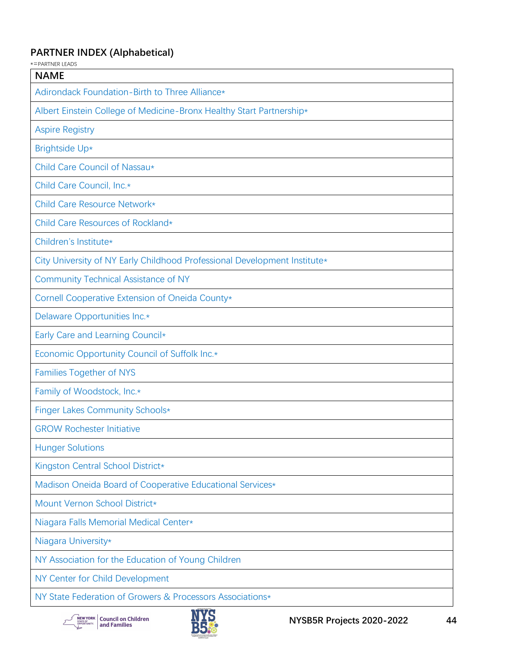## <span id="page-44-0"></span>**PARTNER INDEX (Alphabetical)**

| *=PARTNER LEADS                                                           |
|---------------------------------------------------------------------------|
| <b>NAME</b>                                                               |
| Adirondack Foundation-Birth to Three Alliance*                            |
| Albert Einstein College of Medicine-Bronx Healthy Start Partnership*      |
| <b>Aspire Registry</b>                                                    |
| Brightside Up*                                                            |
| Child Care Council of Nassau*                                             |
| Child Care Council, Inc.*                                                 |
| Child Care Resource Network*                                              |
| Child Care Resources of Rockland*                                         |
| Children's Institute*                                                     |
| City University of NY Early Childhood Professional Development Institute* |
| <b>Community Technical Assistance of NY</b>                               |
| Cornell Cooperative Extension of Oneida County*                           |
| Delaware Opportunities Inc.*                                              |
| Early Care and Learning Council*                                          |
| Economic Opportunity Council of Suffolk Inc.*                             |
| <b>Families Together of NYS</b>                                           |
| Family of Woodstock, Inc.*                                                |
| Finger Lakes Community Schools*                                           |
| <b>GROW Rochester Initiative</b>                                          |
| <b>Hunger Solutions</b>                                                   |
| Kingston Central School District*                                         |
| Madison Oneida Board of Cooperative Educational Services*                 |
| Mount Vernon School District*                                             |
| Niagara Falls Memorial Medical Center*                                    |
| Niagara University*                                                       |
| NY Association for the Education of Young Children                        |
| NY Center for Child Development                                           |
| NY State Federation of Growers & Processors Associations*                 |

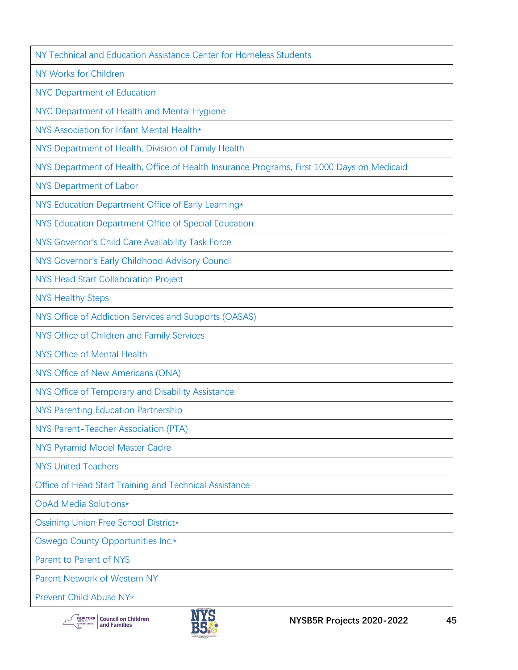[NY Technical and Education Assistance Center for Homeless Students](https://nysteachs.org/)

[NY Works for Children](https://www.nyworksforchildren.org/)

[NYC Department of Education](https://www.schools.nyc.gov/)

[NYC Department of Health and Mental Hygiene](https://www1.nyc.gov/site/doh/index.page)

[NYS Association for Infant Mental Health\\*](https://www.nysaimh.org/)

[NYS Department of Health, Division of Family Health](https://www.health.ny.gov/)

[NYS Department of Health, Office of Health Insurance Programs, First 1000 Days on Medicaid](https://www.health.ny.gov/health_care/medicaid/redesign/first_1000.htm)

[NYS Department of Labor](https://dol.ny.gov/)

[NYS Education Department Office of Early Learning\\*](http://www.p12.nysed.gov/earlylearning/)

[NYS Education Department Office of Special Education](http://www.p12.nysed.gov/specialed/)

[NYS Governor's Child Care Availability Task Force](https://www.governor.ny.gov/news/governor-cuomo-announces-launch-child-care-availability-task-force)

[NYS Governor's Early Childhood Advisory Council](http://www.nysecac.org/)

[NYS Head Start Collaboration Project](https://www.ccf.ny.gov/council-initiatives/head-start-collaboration-project/)

[NYS Healthy Steps](https://www.healthysteps.org/sites)

[NYS Office of Addiction Services and Supports \(OASAS\)](https://oasas.ny.gov/)

[NYS Office of Children and Family Services](https://ocfs.ny.gov/main/)

[NYS Office of Mental Health](https://omh.ny.gov/)

[NYS Office of New Americans \(ONA\)](https://www.newamericans.ny.gov/)

[NYS Office of Temporary and Disability Assistance](https://otda.ny.gov/)

[NYS Parenting Education Partnership](https://nyspep.org/)

[NYS Parent-Teacher Association \(PTA\)](https://nyspta.org/)

[NYS Pyramid Model Master Cadre](http://www.nysecac.org/contact/pyramid-model/master-cadre)

[NYS United Teachers](https://www.nysut.org/)

[Office of Head Start Training and Technical Assistance](https://www.acf.hhs.gov/ohs/assistance)

[OpAd Media Solutions\\*](https://www.opadmedia.com/)

[Ossining Union Free School District\\*](https://ossiningufsd.org/)

[Oswego County Opportunities Inc.\\*](https://www.oco.org/)

[Parent to Parent of NYS](http://parenttoparentnys.org/)

[Parent Network of Western NY](https://parentnetworkwny.org/)

[Prevent Child Abuse NY\\*](https://www.preventchildabuseny.org/)